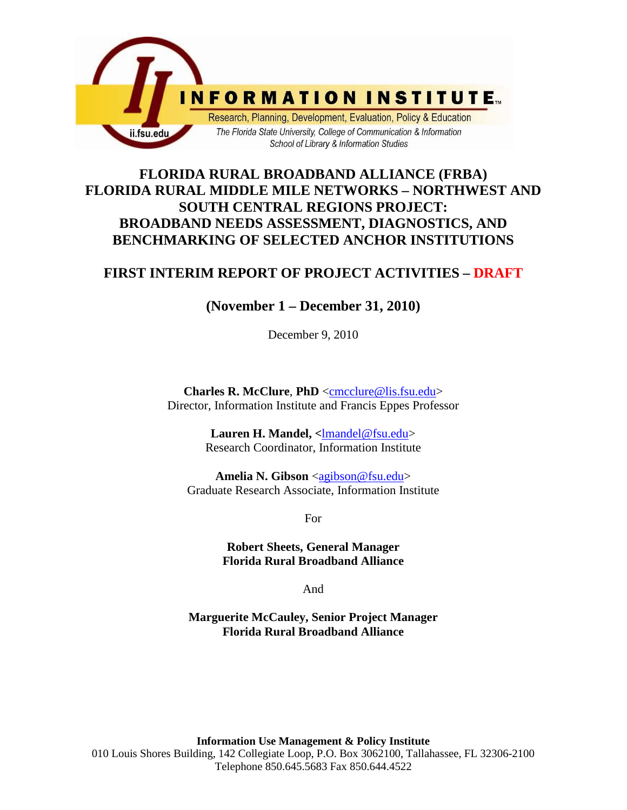

# **FLORIDA RURAL BROADBAND ALLIANCE (FRBA) FLORIDA RURAL MIDDLE MILE NETWORKS – NORTHWEST AND SOUTH CENTRAL REGIONS PROJECT: BROADBAND NEEDS ASSESSMENT, DIAGNOSTICS, AND BENCHMARKING OF SELECTED ANCHOR INSTITUTIONS**

# **FIRST INTERIM REPORT OF PROJECT ACTIVITIES – DRAFT**

# **(November 1 – December 31, 2010)**

December 9, 2010

**Charles R. McClure**, **PhD** [<cmcclure@lis.fsu.edu>](mailto:cmcclure@lis.fsu.edu) Director, Information Institute and Francis Eppes Professor

> **Lauren H. Mandel, <**lmandel@fsu.edu > Research Coordinator, Information Institute

Amelia N. Gibson [<agibson@fsu.edu>](mailto:agibson@fsu.edu) Graduate Research Associate, Information Institute

For

**Robert Sheets, General Manager Florida Rural Broadband Alliance**

And

**Marguerite McCauley, Senior Project Manager Florida Rural Broadband Alliance**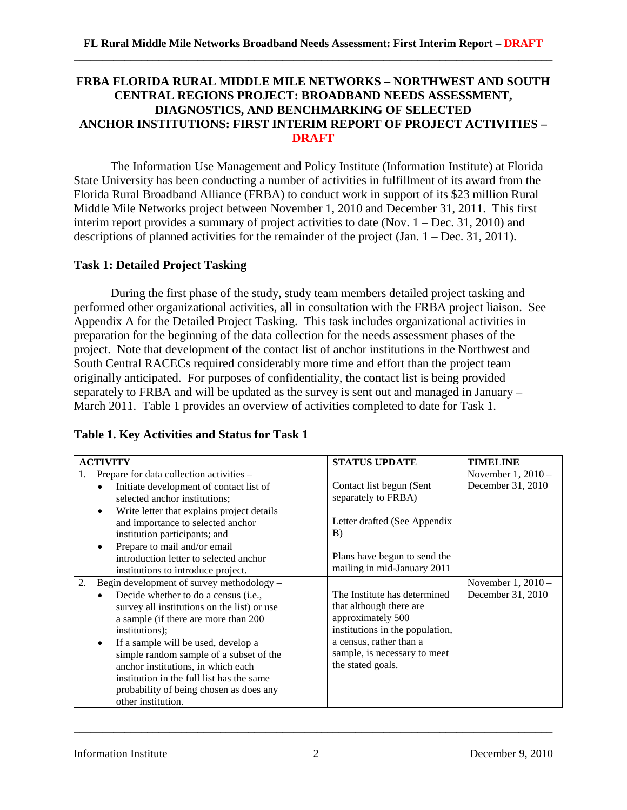### **FRBA FLORIDA RURAL MIDDLE MILE NETWORKS – NORTHWEST AND SOUTH CENTRAL REGIONS PROJECT: BROADBAND NEEDS ASSESSMENT, DIAGNOSTICS, AND BENCHMARKING OF SELECTED ANCHOR INSTITUTIONS: FIRST INTERIM REPORT OF PROJECT ACTIVITIES – DRAFT**

The Information Use Management and Policy Institute (Information Institute) at Florida State University has been conducting a number of activities in fulfillment of its award from the Florida Rural Broadband Alliance (FRBA) to conduct work in support of its \$23 million Rural Middle Mile Networks project between November 1, 2010 and December 31, 2011. This first interim report provides a summary of project activities to date (Nov. 1 – Dec. 31, 2010) and descriptions of planned activities for the remainder of the project (Jan. 1 – Dec. 31, 2011).

## **Task 1: Detailed Project Tasking**

During the first phase of the study, study team members detailed project tasking and performed other organizational activities, all in consultation with the FRBA project liaison. See Appendix A for the Detailed Project Tasking. This task includes organizational activities in preparation for the beginning of the data collection for the needs assessment phases of the project. Note that development of the contact list of anchor institutions in the Northwest and South Central RACECs required considerably more time and effort than the project team originally anticipated. For purposes of confidentiality, the contact list is being provided separately to FRBA and will be updated as the survey is sent out and managed in January – March 2011. Table 1 provides an overview of activities completed to date for Task 1.

|    | <b>ACTIVITY</b>                                                                 | <b>STATUS UPDATE</b>                                       | <b>TIMELINE</b>    |
|----|---------------------------------------------------------------------------------|------------------------------------------------------------|--------------------|
| 1. | Prepare for data collection activities -                                        |                                                            | November $1,2010-$ |
|    | Initiate development of contact list of                                         | Contact list begun (Sent                                   | December 31, 2010  |
|    | selected anchor institutions;                                                   | separately to FRBA)                                        |                    |
|    | Write letter that explains project details<br>$\bullet$                         |                                                            |                    |
|    | and importance to selected anchor                                               | Letter drafted (See Appendix                               |                    |
|    | institution participants; and                                                   | B)                                                         |                    |
|    | Prepare to mail and/or email                                                    |                                                            |                    |
|    | introduction letter to selected anchor                                          | Plans have begun to send the                               |                    |
|    | institutions to introduce project.                                              | mailing in mid-January 2011                                |                    |
| 2. | Begin development of survey methodology -                                       |                                                            | November $1,2010-$ |
|    | Decide whether to do a census (i.e.,<br>$\bullet$                               | The Institute has determined                               | December 31, 2010  |
|    | survey all institutions on the list) or use                                     | that although there are                                    |                    |
|    | a sample (if there are more than 200                                            | approximately 500                                          |                    |
|    | institutions);                                                                  | institutions in the population,<br>a census, rather than a |                    |
|    | If a sample will be used, develop a                                             | sample, is necessary to meet                               |                    |
|    | simple random sample of a subset of the                                         | the stated goals.                                          |                    |
|    | anchor institutions, in which each<br>institution in the full list has the same |                                                            |                    |
|    |                                                                                 |                                                            |                    |
|    | probability of being chosen as does any<br>other institution.                   |                                                            |                    |
|    |                                                                                 |                                                            |                    |

## **Table 1. Key Activities and Status for Task 1**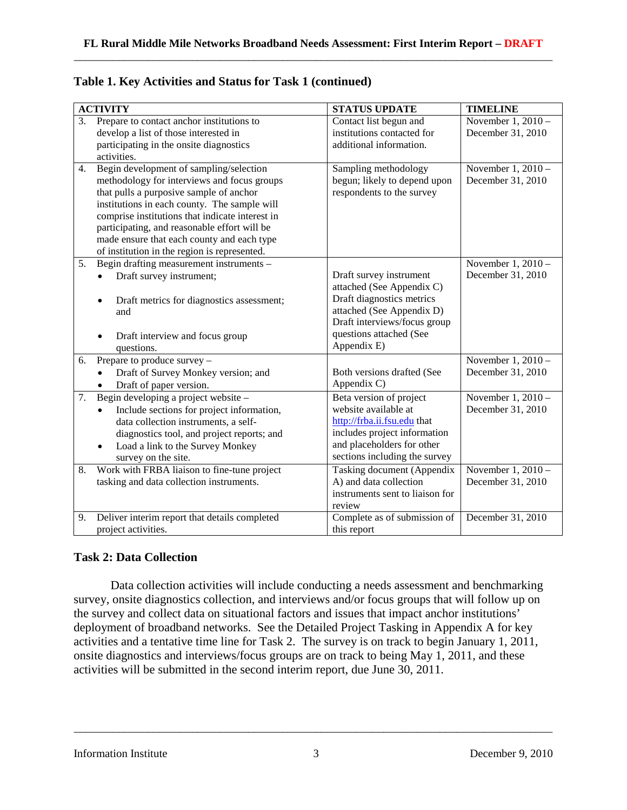|    | <b>ACTIVITY</b>                                        | <b>STATUS UPDATE</b>                                      | <b>TIMELINE</b>      |
|----|--------------------------------------------------------|-----------------------------------------------------------|----------------------|
| 3. | Prepare to contact anchor institutions to              | Contact list begun and                                    | November 1, 2010 -   |
|    | develop a list of those interested in                  | institutions contacted for                                | December 31, 2010    |
|    | participating in the onsite diagnostics                | additional information.                                   |                      |
|    | activities.                                            |                                                           |                      |
| 4. | Begin development of sampling/selection                | Sampling methodology                                      | November 1, 2010 -   |
|    | methodology for interviews and focus groups            | begun; likely to depend upon                              | December 31, 2010    |
|    | that pulls a purposive sample of anchor                | respondents to the survey                                 |                      |
|    | institutions in each county. The sample will           |                                                           |                      |
|    | comprise institutions that indicate interest in        |                                                           |                      |
|    | participating, and reasonable effort will be           |                                                           |                      |
|    | made ensure that each county and each type             |                                                           |                      |
|    | of institution in the region is represented.           |                                                           |                      |
| 5. | Begin drafting measurement instruments -               |                                                           | November $1, 2010 -$ |
|    | Draft survey instrument;<br>$\bullet$                  | Draft survey instrument                                   | December 31, 2010    |
|    |                                                        | attached (See Appendix C)                                 |                      |
|    | Draft metrics for diagnostics assessment;              | Draft diagnostics metrics                                 |                      |
|    | and                                                    | attached (See Appendix D)<br>Draft interviews/focus group |                      |
|    |                                                        | questions attached (See                                   |                      |
|    | Draft interview and focus group                        | Appendix E)                                               |                      |
|    | questions.                                             |                                                           |                      |
| 6. | Prepare to produce survey -                            |                                                           | November 1, 2010 -   |
|    | Draft of Survey Monkey version; and                    | Both versions drafted (See                                | December 31, 2010    |
|    | Draft of paper version.                                | Appendix C)                                               |                      |
| 7. | Begin developing a project website -                   | Beta version of project                                   | November 1, 2010 -   |
|    | Include sections for project information,<br>$\bullet$ | website available at                                      | December 31, 2010    |
|    | data collection instruments, a self-                   | http://frba.ii.fsu.edu that                               |                      |
|    | diagnostics tool, and project reports; and             | includes project information                              |                      |
|    | Load a link to the Survey Monkey<br>$\bullet$          | and placeholders for other                                |                      |
|    | survey on the site.                                    | sections including the survey                             |                      |
| 8. | Work with FRBA liaison to fine-tune project            | Tasking document (Appendix                                | November 1, 2010 -   |
|    | tasking and data collection instruments.               | A) and data collection                                    | December 31, 2010    |
|    |                                                        | instruments sent to liaison for                           |                      |
|    |                                                        | review                                                    |                      |
| 9. | Deliver interim report that details completed          | Complete as of submission of                              | December 31, 2010    |
|    | project activities.                                    | this report                                               |                      |

# **Table 1. Key Activities and Status for Task 1 (continued)**

## **Task 2: Data Collection**

Data collection activities will include conducting a needs assessment and benchmarking survey, onsite diagnostics collection, and interviews and/or focus groups that will follow up on the survey and collect data on situational factors and issues that impact anchor institutions' deployment of broadband networks. See the Detailed Project Tasking in Appendix A for key activities and a tentative time line for Task 2. The survey is on track to begin January 1, 2011, onsite diagnostics and interviews/focus groups are on track to being May 1, 2011, and these activities will be submitted in the second interim report, due June 30, 2011.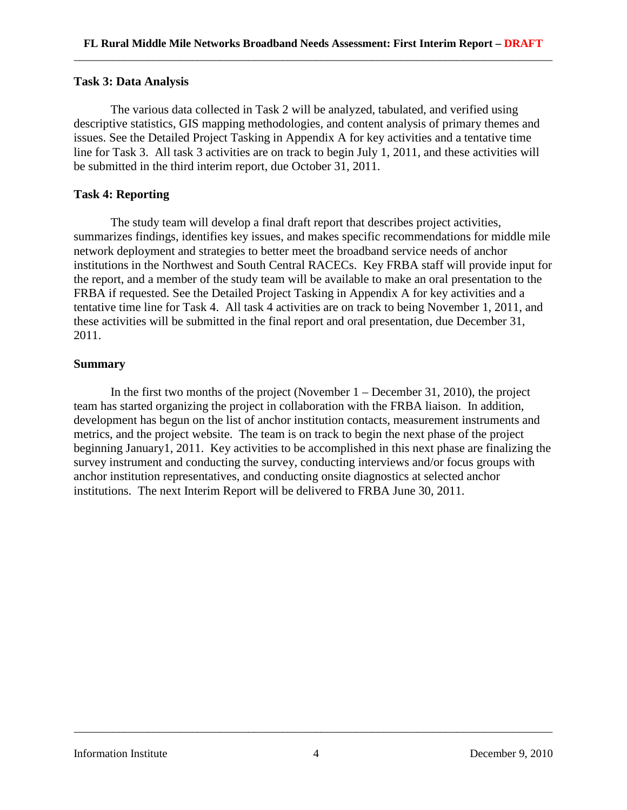#### **Task 3: Data Analysis**

The various data collected in Task 2 will be analyzed, tabulated, and verified using descriptive statistics, GIS mapping methodologies, and content analysis of primary themes and issues. See the Detailed Project Tasking in Appendix A for key activities and a tentative time line for Task 3. All task 3 activities are on track to begin July 1, 2011, and these activities will be submitted in the third interim report, due October 31, 2011.

## **Task 4: Reporting**

The study team will develop a final draft report that describes project activities, summarizes findings, identifies key issues, and makes specific recommendations for middle mile network deployment and strategies to better meet the broadband service needs of anchor institutions in the Northwest and South Central RACECs. Key FRBA staff will provide input for the report, and a member of the study team will be available to make an oral presentation to the FRBA if requested. See the Detailed Project Tasking in Appendix A for key activities and a tentative time line for Task 4. All task 4 activities are on track to being November 1, 2011, and these activities will be submitted in the final report and oral presentation, due December 31, 2011.

### **Summary**

In the first two months of the project (November 1 – December 31, 2010), the project team has started organizing the project in collaboration with the FRBA liaison. In addition, development has begun on the list of anchor institution contacts, measurement instruments and metrics, and the project website. The team is on track to begin the next phase of the project beginning January1, 2011. Key activities to be accomplished in this next phase are finalizing the survey instrument and conducting the survey, conducting interviews and/or focus groups with anchor institution representatives, and conducting onsite diagnostics at selected anchor institutions. The next Interim Report will be delivered to FRBA June 30, 2011.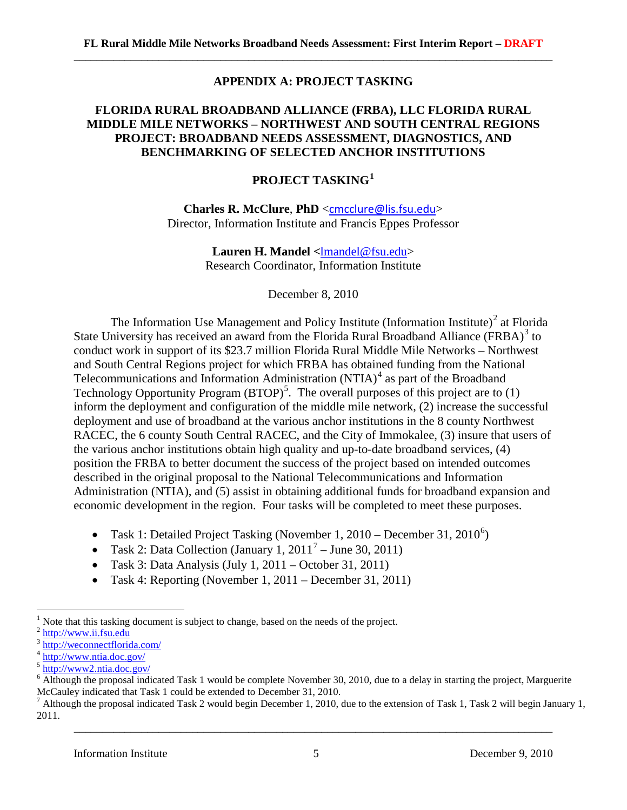## **APPENDIX A: PROJECT TASKING**

### **FLORIDA RURAL BROADBAND ALLIANCE (FRBA), LLC FLORIDA RURAL MIDDLE MILE NETWORKS – NORTHWEST AND SOUTH CENTRAL REGIONS PROJECT: BROADBAND NEEDS ASSESSMENT, DIAGNOSTICS, AND BENCHMARKING OF SELECTED ANCHOR INSTITUTIONS**

## **PROJECT TASKING[1](#page-4-0)**

**Charles R. McClure**, **PhD** <[cmcclure@lis.fsu.edu](mailto:cmcclure@lis.fsu.edu)> Director, Information Institute and Francis Eppes Professor

## **Lauren H. Mandel <**lmandel@fsu.edu >

Research Coordinator, Information Institute

December 8, 2010

The Information Use Management and Policy Institute (Information Institute)<sup>[2](#page-4-1)</sup> at Florida State University has received an award from the Florida Rural Broadband Alliance (FRBA) $3$  to conduct work in support of its \$23.7 million Florida Rural Middle Mile Networks – Northwest and South Central Regions project for which FRBA has obtained funding from the National Telecommunications and Information Administration (NTIA)<sup>[4](#page-4-3)</sup> as part of the Broadband Technology Opportunity Program  $(BTOP)^5$  $(BTOP)^5$ . The overall purposes of this project are to (1) inform the deployment and configuration of the middle mile network, (2) increase the successful deployment and use of broadband at the various anchor institutions in the 8 county Northwest RACEC, the 6 county South Central RACEC, and the City of Immokalee, (3) insure that users of the various anchor institutions obtain high quality and up-to-date broadband services, (4) position the FRBA to better document the success of the project based on intended outcomes described in the original proposal to the National Telecommunications and Information Administration (NTIA), and (5) assist in obtaining additional funds for broadband expansion and economic development in the region. Four tasks will be completed to meet these purposes.

- Task 1: Detailed Project Tasking (November 1, 2010 December 31, 2010<sup>[6](#page-4-5)</sup>)
- Task 2: Data Collection (January 1,  $2011^7$  $2011^7$  June 30, 2011)
- Task 3: Data Analysis (July 1, 2011 October 31, 2011)
- Task 4: Reporting (November 1, 2011 December 31, 2011)

 $\overline{\phantom{0}}$ 

<span id="page-4-0"></span><sup>&</sup>lt;sup>1</sup> Note that this tasking document is subject to change, based on the needs of the project.<br><sup>2</sup> http://www.ii fau.odu

<span id="page-4-1"></span><sup>2</sup> [http://www.ii.fsu.edu](http://www.ii.fsu.edu/)

<span id="page-4-2"></span><http://weconnectflorida.com/>

<span id="page-4-3"></span><sup>4</sup> <http://www.ntia.doc.gov/>

<span id="page-4-4"></span><sup>5</sup> <http://www2.ntia.doc.gov/>

<span id="page-4-5"></span> $6$  Although the proposal indicated Task 1 would be complete November 30, 2010, due to a delay in starting the project, Marguerite McCauley indicated that Task 1 could be extended to December 31, 2010.

<span id="page-4-6"></span>\_\_\_\_\_\_\_\_\_\_\_\_\_\_\_\_\_\_\_\_\_\_\_\_\_\_\_\_\_\_\_\_\_\_\_\_\_\_\_\_\_\_\_\_\_\_\_\_\_\_\_\_\_\_\_\_\_\_\_\_\_\_\_\_\_\_\_\_\_\_\_\_\_\_\_\_\_\_\_\_\_\_\_\_\_ <sup>7</sup> Although the proposal indicated Task 2 would begin December 1, 2010, due to the extension of Task 1, Task 2 will begin January 1, 2011.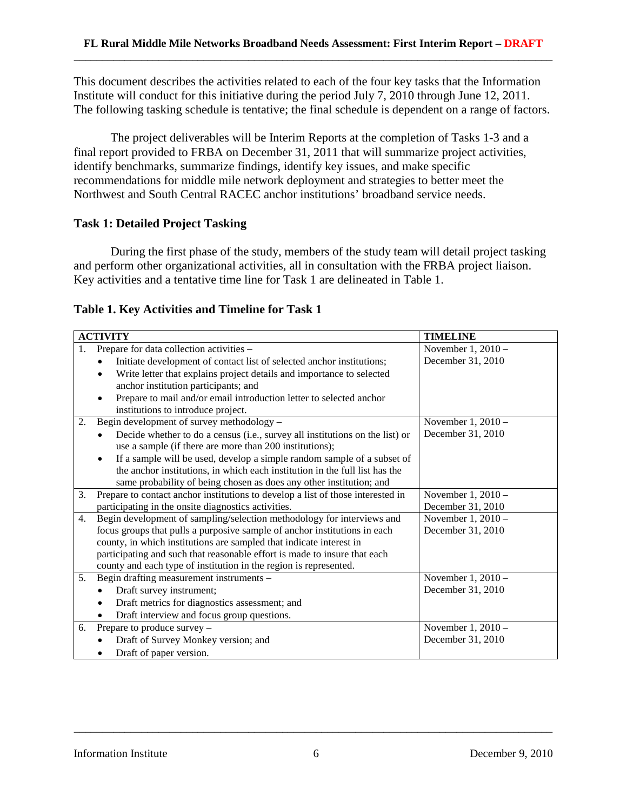This document describes the activities related to each of the four key tasks that the Information Institute will conduct for this initiative during the period July 7, 2010 through June 12, 2011. The following tasking schedule is tentative; the final schedule is dependent on a range of factors.

The project deliverables will be Interim Reports at the completion of Tasks 1-3 and a final report provided to FRBA on December 31, 2011 that will summarize project activities, identify benchmarks, summarize findings, identify key issues, and make specific recommendations for middle mile network deployment and strategies to better meet the Northwest and South Central RACEC anchor institutions' broadband service needs.

### **Task 1: Detailed Project Tasking**

During the first phase of the study, members of the study team will detail project tasking and perform other organizational activities, all in consultation with the FRBA project liaison. Key activities and a tentative time line for Task 1 are delineated in Table 1.

|  | Table 1. Key Activities and Timeline for Task 1 |  |  |  |
|--|-------------------------------------------------|--|--|--|

|    | <b>ACTIVITY</b>                                                                           | <b>TIMELINE</b>    |
|----|-------------------------------------------------------------------------------------------|--------------------|
| 1. | Prepare for data collection activities -                                                  | November 1, 2010 - |
|    | Initiate development of contact list of selected anchor institutions;<br>$\bullet$        | December 31, 2010  |
|    | Write letter that explains project details and importance to selected<br>$\bullet$        |                    |
|    | anchor institution participants; and                                                      |                    |
|    | Prepare to mail and/or email introduction letter to selected anchor<br>$\bullet$          |                    |
|    | institutions to introduce project.                                                        |                    |
| 2. | Begin development of survey methodology -                                                 | November $1,2010-$ |
|    | Decide whether to do a census (i.e., survey all institutions on the list) or<br>$\bullet$ | December 31, 2010  |
|    | use a sample (if there are more than 200 institutions);                                   |                    |
|    | If a sample will be used, develop a simple random sample of a subset of<br>$\bullet$      |                    |
|    | the anchor institutions, in which each institution in the full list has the               |                    |
|    | same probability of being chosen as does any other institution; and                       |                    |
| 3. | Prepare to contact anchor institutions to develop a list of those interested in           | November $1,2010-$ |
|    | participating in the onsite diagnostics activities.                                       | December 31, 2010  |
| 4. | Begin development of sampling/selection methodology for interviews and                    | November 1, 2010 - |
|    | focus groups that pulls a purposive sample of anchor institutions in each                 | December 31, 2010  |
|    | county, in which institutions are sampled that indicate interest in                       |                    |
|    | participating and such that reasonable effort is made to insure that each                 |                    |
|    | county and each type of institution in the region is represented.                         |                    |
| 5. | Begin drafting measurement instruments -                                                  | November $1,2010-$ |
|    | Draft survey instrument;<br>$\bullet$                                                     | December 31, 2010  |
|    | Draft metrics for diagnostics assessment; and<br>$\bullet$                                |                    |
|    | Draft interview and focus group questions.                                                |                    |
| 6. | Prepare to produce survey -                                                               | November 1, 2010 - |
|    | Draft of Survey Monkey version; and                                                       | December 31, 2010  |
|    | Draft of paper version.<br>$\bullet$                                                      |                    |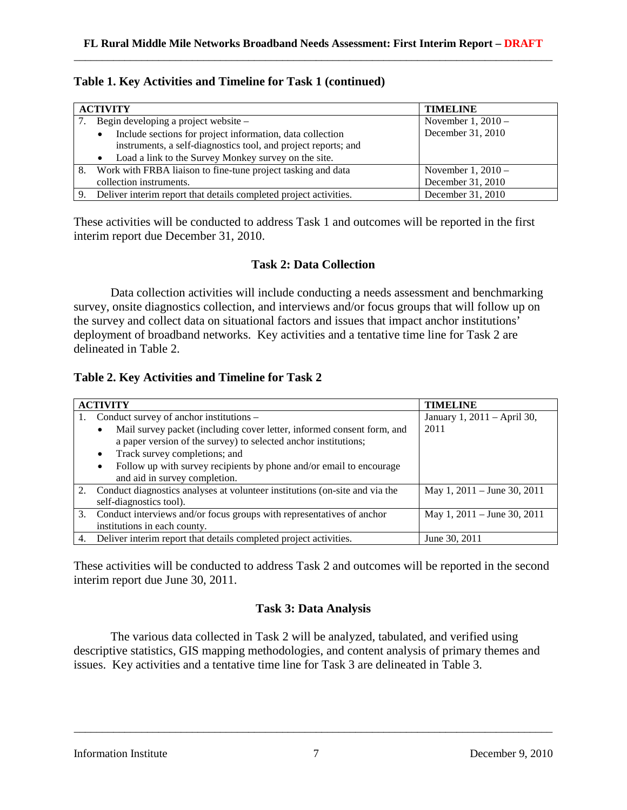| Table 1. Key Activities and Timeline for Task 1 (continued) |
|-------------------------------------------------------------|
|-------------------------------------------------------------|

|    | <b>ACTIVITY</b>                                                        | <b>TIMELINE</b>      |
|----|------------------------------------------------------------------------|----------------------|
|    | Begin developing a project website –                                   | November $1, 2010 -$ |
|    | Include sections for project information, data collection<br>$\bullet$ | December 31, 2010    |
|    | instruments, a self-diagnostics tool, and project reports; and         |                      |
|    | Load a link to the Survey Monkey survey on the site.<br>$\bullet$      |                      |
| 8. | Work with FRBA liaison to fine-tune project tasking and data           | November $1, 2010 -$ |
|    | collection instruments.                                                | December 31, 2010    |
|    | 9. Deliver interim report that details completed project activities.   | December 31, 2010    |

These activities will be conducted to address Task 1 and outcomes will be reported in the first interim report due December 31, 2010.

## **Task 2: Data Collection**

Data collection activities will include conducting a needs assessment and benchmarking survey, onsite diagnostics collection, and interviews and/or focus groups that will follow up on the survey and collect data on situational factors and issues that impact anchor institutions' deployment of broadband networks. Key activities and a tentative time line for Task 2 are delineated in Table 2.

### **Table 2. Key Activities and Timeline for Task 2**

|    | <b>ACTIVITY</b>                                                                                                                                | <b>TIMELINE</b>                 |
|----|------------------------------------------------------------------------------------------------------------------------------------------------|---------------------------------|
|    | Conduct survey of anchor institutions –                                                                                                        | January 1, 2011 - April 30,     |
|    | Mail survey packet (including cover letter, informed consent form, and<br>٠<br>a paper version of the survey) to selected anchor institutions; | 2011                            |
|    | Track survey completions; and<br>$\bullet$                                                                                                     |                                 |
|    | Follow up with survey recipients by phone and/or email to encourage<br>$\bullet$                                                               |                                 |
|    | and aid in survey completion.                                                                                                                  |                                 |
| 2. | Conduct diagnostics analyses at volunteer institutions (on-site and via the                                                                    | May 1, $2011 -$ June 30, $2011$ |
|    | self-diagnostics tool).                                                                                                                        |                                 |
| 3. | Conduct interviews and/or focus groups with representatives of anchor                                                                          | May 1, 2011 – June 30, 2011     |
|    | institutions in each county.                                                                                                                   |                                 |
| 4. | Deliver interim report that details completed project activities.                                                                              | June 30, 2011                   |

These activities will be conducted to address Task 2 and outcomes will be reported in the second interim report due June 30, 2011.

## **Task 3: Data Analysis**

The various data collected in Task 2 will be analyzed, tabulated, and verified using descriptive statistics, GIS mapping methodologies, and content analysis of primary themes and issues. Key activities and a tentative time line for Task 3 are delineated in Table 3.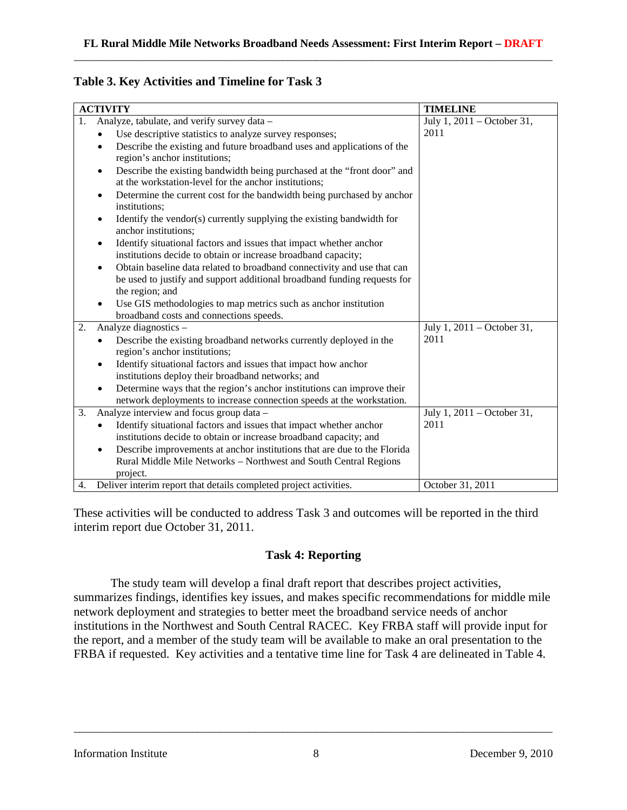|  |  | Table 3. Key Activities and Timeline for Task 3 |  |
|--|--|-------------------------------------------------|--|
|--|--|-------------------------------------------------|--|

|    | <b>ACTIVITY</b>                                                                       | <b>TIMELINE</b>              |
|----|---------------------------------------------------------------------------------------|------------------------------|
| 1. | Analyze, tabulate, and verify survey data -                                           | July 1, 2011 – October 31,   |
|    | Use descriptive statistics to analyze survey responses;                               | 2011                         |
|    | Describe the existing and future broadband uses and applications of the<br>$\bullet$  |                              |
|    | region's anchor institutions;                                                         |                              |
|    | Describe the existing bandwidth being purchased at the "front door" and<br>$\bullet$  |                              |
|    | at the workstation-level for the anchor institutions;                                 |                              |
|    | Determine the current cost for the bandwidth being purchased by anchor                |                              |
|    | institutions;                                                                         |                              |
|    | Identify the vendor(s) currently supplying the existing bandwidth for                 |                              |
|    | anchor institutions;                                                                  |                              |
|    | Identify situational factors and issues that impact whether anchor<br>$\bullet$       |                              |
|    | institutions decide to obtain or increase broadband capacity;                         |                              |
|    | Obtain baseline data related to broadband connectivity and use that can               |                              |
|    | be used to justify and support additional broadband funding requests for              |                              |
|    | the region; and                                                                       |                              |
|    | Use GIS methodologies to map metrics such as anchor institution                       |                              |
|    | broadband costs and connections speeds.                                               |                              |
| 2. | Analyze diagnostics -                                                                 | July 1, 2011 - October 31,   |
|    | Describe the existing broadband networks currently deployed in the<br>$\bullet$       | 2011                         |
|    | region's anchor institutions;                                                         |                              |
|    | Identify situational factors and issues that impact how anchor<br>$\bullet$           |                              |
|    | institutions deploy their broadband networks; and                                     |                              |
|    | Determine ways that the region's anchor institutions can improve their                |                              |
|    | network deployments to increase connection speeds at the workstation.                 |                              |
| 3. | Analyze interview and focus group data -                                              | July 1, $2011 -$ October 31, |
|    | Identify situational factors and issues that impact whether anchor                    | 2011                         |
|    | institutions decide to obtain or increase broadband capacity; and                     |                              |
|    | Describe improvements at anchor institutions that are due to the Florida<br>$\bullet$ |                              |
|    | Rural Middle Mile Networks - Northwest and South Central Regions                      |                              |
|    | project.                                                                              |                              |
| 4. | Deliver interim report that details completed project activities.                     | October 31, 2011             |

These activities will be conducted to address Task 3 and outcomes will be reported in the third interim report due October 31, 2011.

## **Task 4: Reporting**

The study team will develop a final draft report that describes project activities, summarizes findings, identifies key issues, and makes specific recommendations for middle mile network deployment and strategies to better meet the broadband service needs of anchor institutions in the Northwest and South Central RACEC. Key FRBA staff will provide input for the report, and a member of the study team will be available to make an oral presentation to the FRBA if requested. Key activities and a tentative time line for Task 4 are delineated in Table 4.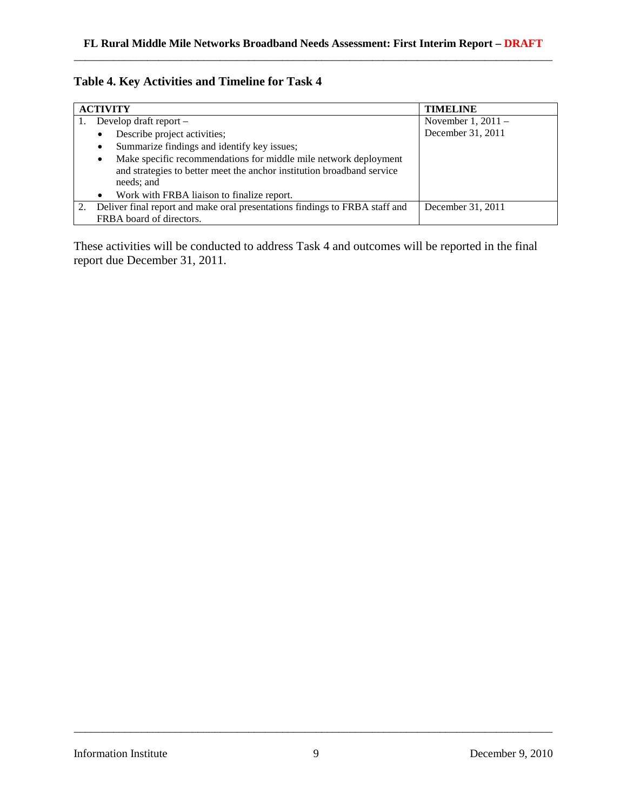## **Table 4. Key Activities and Timeline for Task 4**

| <b>ACTIVITY</b>                                                                                                                                               | <b>TIMELINE</b>      |
|---------------------------------------------------------------------------------------------------------------------------------------------------------------|----------------------|
| Develop draft report –                                                                                                                                        | November $1, 2011 -$ |
| Describe project activities;<br>٠                                                                                                                             | December 31, 2011    |
| Summarize findings and identify key issues;<br>٠                                                                                                              |                      |
| Make specific recommendations for middle mile network deployment<br>٠<br>and strategies to better meet the anchor institution broadband service<br>needs; and |                      |
| Work with FRBA liaison to finalize report.<br>$\bullet$                                                                                                       |                      |
| Deliver final report and make oral presentations findings to FRBA staff and<br>FRBA board of directors.                                                       | December 31, 2011    |

These activities will be conducted to address Task 4 and outcomes will be reported in the final report due December 31, 2011.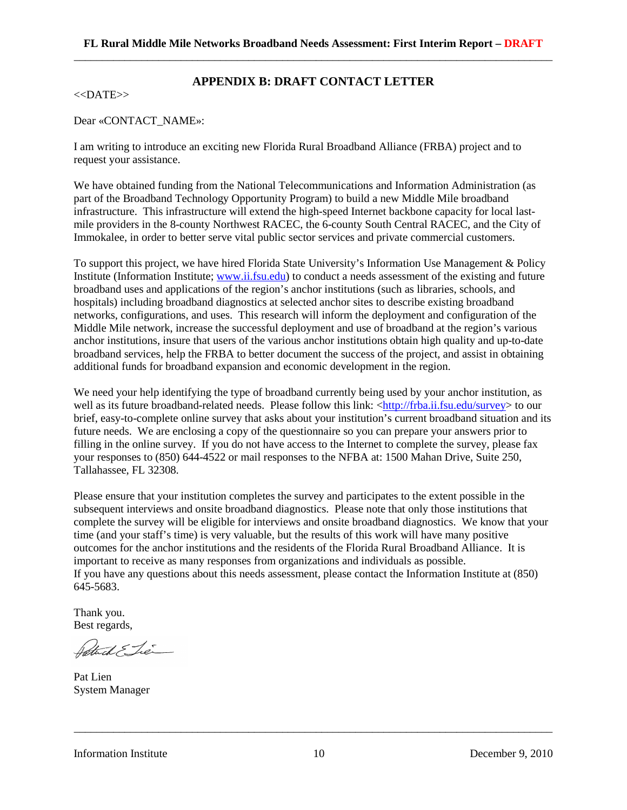## **APPENDIX B: DRAFT CONTACT LETTER**

 $<<$ DATE $>>$ 

Dear «CONTACT\_NAME»:

I am writing to introduce an exciting new Florida Rural Broadband Alliance (FRBA) project and to request your assistance.

We have obtained funding from the National Telecommunications and Information Administration (as part of the Broadband Technology Opportunity Program) to build a new Middle Mile broadband infrastructure. This infrastructure will extend the high-speed Internet backbone capacity for local lastmile providers in the 8-county Northwest RACEC, the 6-county South Central RACEC, and the City of Immokalee, in order to better serve vital public sector services and private commercial customers.

To support this project, we have hired Florida State University's Information Use Management & Policy Institute (Information Institute; www.ii.fsu.edu) to conduct a needs assessment of the existing and future broadband uses and applications of the region's anchor institutions (such as libraries, schools, and hospitals) including broadband diagnostics at selected anchor sites to describe existing broadband networks, configurations, and uses. This research will inform the deployment and configuration of the Middle Mile network, increase the successful deployment and use of broadband at the region's various anchor institutions, insure that users of the various anchor institutions obtain high quality and up-to-date broadband services, help the FRBA to better document the success of the project, and assist in obtaining additional funds for broadband expansion and economic development in the region.

We need your help identifying the type of broadband currently being used by your anchor institution, as well as its future broadband-related needs. Please follow this link: [<http://frba.ii.fsu.edu/survey>](http://frba.ii.fsu.edu/survey) to our brief, easy-to-complete online survey that asks about your institution's current broadband situation and its future needs. We are enclosing a copy of the questionnaire so you can prepare your answers prior to filling in the online survey. If you do not have access to the Internet to complete the survey, please fax your responses to (850) 644-4522 or mail responses to the NFBA at: 1500 Mahan Drive, Suite 250, Tallahassee, FL 32308.

Please ensure that your institution completes the survey and participates to the extent possible in the subsequent interviews and onsite broadband diagnostics. Please note that only those institutions that complete the survey will be eligible for interviews and onsite broadband diagnostics. We know that your time (and your staff's time) is very valuable, but the results of this work will have many positive outcomes for the anchor institutions and the residents of the Florida Rural Broadband Alliance. It is important to receive as many responses from organizations and individuals as possible. If you have any questions about this needs assessment, please contact the Information Institute at (850) 645-5683.

Thank you. Best regards,

Pat Lien System Manager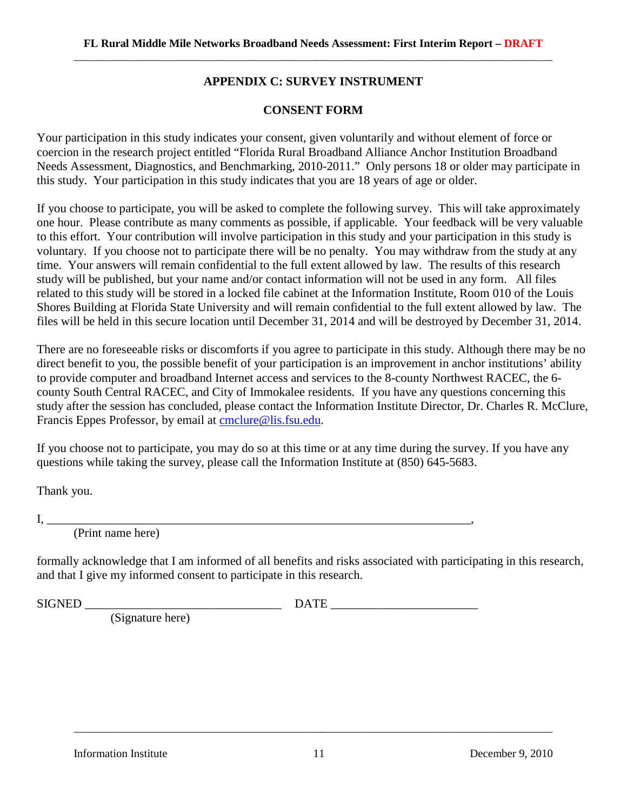# **APPENDIX C: SURVEY INSTRUMENT**

## **CONSENT FORM**

Your participation in this study indicates your consent, given voluntarily and without element of force or coercion in the research project entitled "Florida Rural Broadband Alliance Anchor Institution Broadband Needs Assessment, Diagnostics, and Benchmarking, 2010-2011." Only persons 18 or older may participate in this study. Your participation in this study indicates that you are 18 years of age or older.

If you choose to participate, you will be asked to complete the following survey. This will take approximately one hour. Please contribute as many comments as possible, if applicable. Your feedback will be very valuable to this effort. Your contribution will involve participation in this study and your participation in this study is voluntary. If you choose not to participate there will be no penalty. You may withdraw from the study at any time. Your answers will remain confidential to the full extent allowed by law. The results of this research study will be published, but your name and/or contact information will not be used in any form. All files related to this study will be stored in a locked file cabinet at the Information Institute, Room 010 of the Louis Shores Building at Florida State University and will remain confidential to the full extent allowed by law. The files will be held in this secure location until December 31, 2014 and will be destroyed by December 31, 2014.

There are no foreseeable risks or discomforts if you agree to participate in this study. Although there may be no direct benefit to you, the possible benefit of your participation is an improvement in anchor institutions' ability to provide computer and broadband Internet access and services to the 8-county Northwest RACEC, the 6 county South Central RACEC, and City of Immokalee residents. If you have any questions concerning this study after the session has concluded, please contact the Information Institute Director, Dr. Charles R. McClure, Francis Eppes Professor, by email at [cmclure@lis.fsu.edu.](mailto:cmclure@lis.fsu.edu)

If you choose not to participate, you may do so at this time or at any time during the survey. If you have any questions while taking the survey, please call the Information Institute at (850) 645-5683.

Thank you.

I, \_\_\_\_\_\_\_\_\_\_\_\_\_\_\_\_\_\_\_\_\_\_\_\_\_\_\_\_\_\_\_\_\_\_\_\_\_\_\_\_\_\_\_\_\_\_\_\_\_\_\_\_\_\_\_\_\_\_\_\_\_\_\_\_\_\_\_\_\_,

(Print name here)

formally acknowledge that I am informed of all benefits and risks associated with participating in this research, and that I give my informed consent to participate in this research.

SIGNED \_\_\_\_\_\_\_\_\_\_\_\_\_\_\_\_\_\_\_\_\_\_\_\_\_\_\_\_\_\_\_\_ DATE \_\_\_\_\_\_\_\_\_\_\_\_\_\_\_\_\_\_\_\_\_\_\_\_

(Signature here)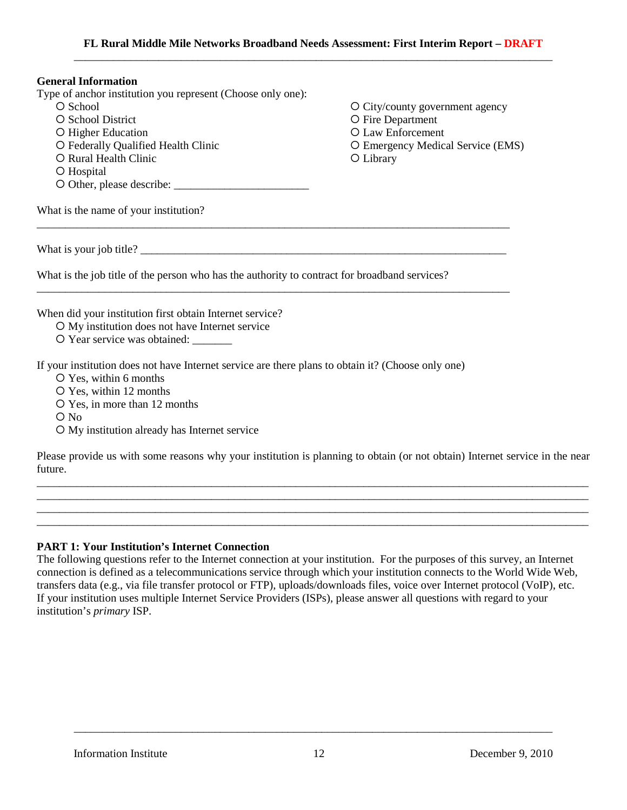| <b>General Information</b><br>Type of anchor institution you represent (Choose only one):<br>O School<br>O School District<br>O Higher Education<br>O Federally Qualified Health Clinic<br>O Rural Health Clinic<br>O Hospital                      | O City/county government agency<br>O Fire Department<br>O Law Enforcement<br>O Emergency Medical Service (EMS)<br>O Library |  |  |  |  |  |  |
|-----------------------------------------------------------------------------------------------------------------------------------------------------------------------------------------------------------------------------------------------------|-----------------------------------------------------------------------------------------------------------------------------|--|--|--|--|--|--|
| What is the name of your institution?                                                                                                                                                                                                               |                                                                                                                             |  |  |  |  |  |  |
|                                                                                                                                                                                                                                                     | What is your job title?                                                                                                     |  |  |  |  |  |  |
| What is the job title of the person who has the authority to contract for broadband services?                                                                                                                                                       |                                                                                                                             |  |  |  |  |  |  |
| When did your institution first obtain Internet service?<br>O My institution does not have Internet service<br>O Year service was obtained: _______                                                                                                 |                                                                                                                             |  |  |  |  |  |  |
| If your institution does not have Internet service are there plans to obtain it? (Choose only one)<br>O Yes, within 6 months<br>O Yes, within 12 months<br>O Yes, in more than 12 months<br>$O$ No<br>O My institution already has Internet service |                                                                                                                             |  |  |  |  |  |  |
| Please provide us with some reasons why your institution is planning to obtain (or not obtain) Internet service in the near<br>future.                                                                                                              |                                                                                                                             |  |  |  |  |  |  |

#### **PART 1: Your Institution's Internet Connection**

The following questions refer to the Internet connection at your institution. For the purposes of this survey, an Internet connection is defined as a telecommunications service through which your institution connects to the World Wide Web, transfers data (e.g., via file transfer protocol or FTP), uploads/downloads files, voice over Internet protocol (VoIP), etc. If your institution uses multiple Internet Service Providers (ISPs), please answer all questions with regard to your institution's *primary* ISP.

\_\_\_\_\_\_\_\_\_\_\_\_\_\_\_\_\_\_\_\_\_\_\_\_\_\_\_\_\_\_\_\_\_\_\_\_\_\_\_\_\_\_\_\_\_\_\_\_\_\_\_\_\_\_\_\_\_\_\_\_\_\_\_\_\_\_\_\_\_\_\_\_\_\_\_\_\_\_\_\_\_\_\_\_\_\_\_\_\_\_\_\_\_\_\_\_\_\_ \_\_\_\_\_\_\_\_\_\_\_\_\_\_\_\_\_\_\_\_\_\_\_\_\_\_\_\_\_\_\_\_\_\_\_\_\_\_\_\_\_\_\_\_\_\_\_\_\_\_\_\_\_\_\_\_\_\_\_\_\_\_\_\_\_\_\_\_\_\_\_\_\_\_\_\_\_\_\_\_\_\_\_\_\_\_\_\_\_\_\_\_\_\_\_\_\_\_ \_\_\_\_\_\_\_\_\_\_\_\_\_\_\_\_\_\_\_\_\_\_\_\_\_\_\_\_\_\_\_\_\_\_\_\_\_\_\_\_\_\_\_\_\_\_\_\_\_\_\_\_\_\_\_\_\_\_\_\_\_\_\_\_\_\_\_\_\_\_\_\_\_\_\_\_\_\_\_\_\_\_\_\_\_\_\_\_\_\_\_\_\_\_\_\_\_\_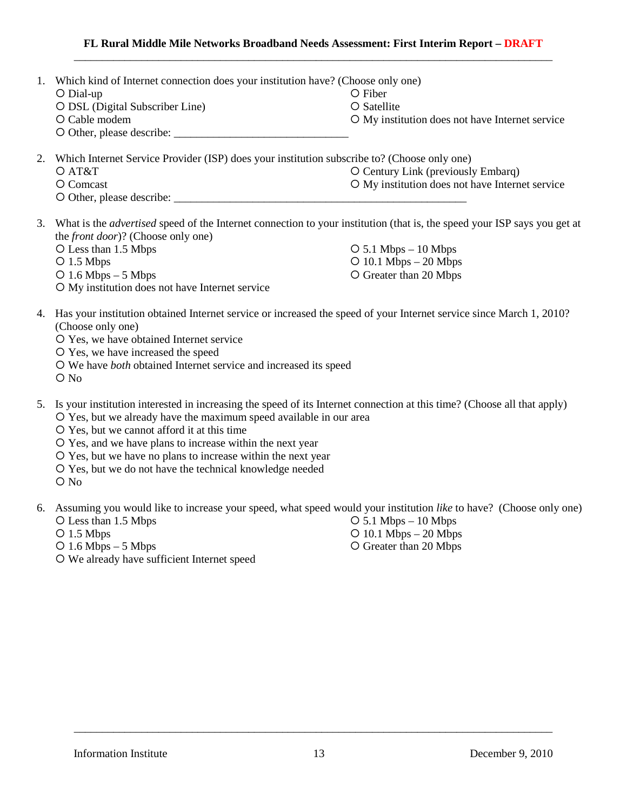#### **FL Rural Middle Mile Networks Broadband Needs Assessment: First Interim Report – DRAFT** \_\_\_\_\_\_\_\_\_\_\_\_\_\_\_\_\_\_\_\_\_\_\_\_\_\_\_\_\_\_\_\_\_\_\_\_\_\_\_\_\_\_\_\_\_\_\_\_\_\_\_\_\_\_\_\_\_\_\_\_\_\_\_\_\_\_\_\_\_\_\_\_\_\_\_\_\_\_\_\_\_\_\_\_\_

| 1. | Which kind of Internet connection does your institution have? (Choose only one)<br>$O$ Dial-up<br>O DSL (Digital Subscriber Line)<br>O Cable modem                                                                                                                                                                                                                                                                                                 | O Fiber<br>O Satellite<br>O My institution does not have Internet service                |
|----|----------------------------------------------------------------------------------------------------------------------------------------------------------------------------------------------------------------------------------------------------------------------------------------------------------------------------------------------------------------------------------------------------------------------------------------------------|------------------------------------------------------------------------------------------|
|    | 2. Which Internet Service Provider (ISP) does your institution subscribe to? (Choose only one)<br>O AT&T<br>O Comcast                                                                                                                                                                                                                                                                                                                              | O Century Link (previously Embarq)<br>O My institution does not have Internet service    |
|    | 3. What is the <i>advertised</i> speed of the Internet connection to your institution (that is, the speed your ISP says you get at<br>the <i>front door</i> )? (Choose only one)<br>O Less than 1.5 Mbps<br>$O$ 1.5 Mbps<br>$O$ 1.6 Mbps $-5$ Mbps<br>O My institution does not have Internet service                                                                                                                                              | $\overline{O}$ 5.1 Mbps – 10 Mbps<br>$O$ 10.1 Mbps $-$ 20 Mbps<br>O Greater than 20 Mbps |
|    | 4. Has your institution obtained Internet service or increased the speed of your Internet service since March 1, 2010?<br>(Choose only one)<br>O Yes, we have obtained Internet service<br>O Yes, we have increased the speed<br>O We have both obtained Internet service and increased its speed<br>$O$ No                                                                                                                                        |                                                                                          |
|    | 5. Is your institution interested in increasing the speed of its Internet connection at this time? (Choose all that apply)<br>O Yes, but we already have the maximum speed available in our area<br>O Yes, but we cannot afford it at this time<br>O Yes, and we have plans to increase within the next year<br>O Yes, but we have no plans to increase within the next year<br>O Yes, but we do not have the technical knowledge needed<br>$O$ No |                                                                                          |
|    | 6. Assuming you would like to increase your speed, what speed would your institution like to have? (Choose only one)<br>O Less than 1.5 Mbps<br>$O$ 1.5 Mbps<br>$O$ 1.6 Mbps $-5$ Mbps<br>O We already have sufficient Internet speed                                                                                                                                                                                                              | $O$ 5.1 Mbps $-$ 10 Mbps<br>$O$ 10.1 Mbps $-$ 20 Mbps<br>O Greater than 20 Mbps          |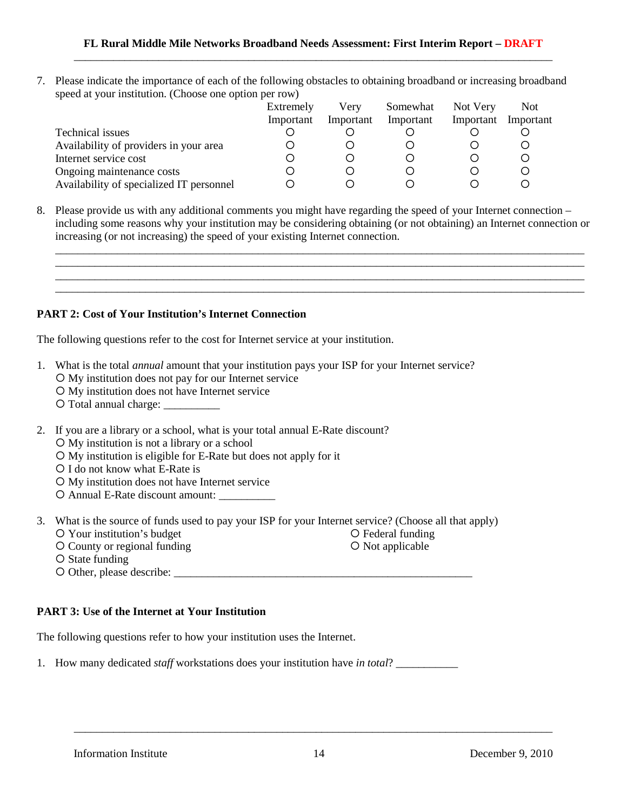#### **FL Rural Middle Mile Networks Broadband Needs Assessment: First Interim Report – DRAFT** \_\_\_\_\_\_\_\_\_\_\_\_\_\_\_\_\_\_\_\_\_\_\_\_\_\_\_\_\_\_\_\_\_\_\_\_\_\_\_\_\_\_\_\_\_\_\_\_\_\_\_\_\_\_\_\_\_\_\_\_\_\_\_\_\_\_\_\_\_\_\_\_\_\_\_\_\_\_\_\_\_\_\_\_\_

7. Please indicate the importance of each of the following obstacles to obtaining broadband or increasing broadband speed at your institution. (Choose one option per row)

|                                          | Extremely | Verv      | Somewhat  | Not Very  | <b>Not</b> |
|------------------------------------------|-----------|-----------|-----------|-----------|------------|
|                                          | Important | Important | Important | Important | Important  |
| Technical issues                         |           |           |           |           |            |
| Availability of providers in your area   |           |           |           |           |            |
| Internet service cost                    |           |           |           |           |            |
| Ongoing maintenance costs                |           |           |           |           |            |
| Availability of specialized IT personnel |           |           |           |           |            |

8. Please provide us with any additional comments you might have regarding the speed of your Internet connection – including some reasons why your institution may be considering obtaining (or not obtaining) an Internet connection or increasing (or not increasing) the speed of your existing Internet connection.

\_\_\_\_\_\_\_\_\_\_\_\_\_\_\_\_\_\_\_\_\_\_\_\_\_\_\_\_\_\_\_\_\_\_\_\_\_\_\_\_\_\_\_\_\_\_\_\_\_\_\_\_\_\_\_\_\_\_\_\_\_\_\_\_\_\_\_\_\_\_\_\_\_\_\_\_\_\_\_\_\_\_\_\_\_\_\_\_\_\_\_\_\_\_ \_\_\_\_\_\_\_\_\_\_\_\_\_\_\_\_\_\_\_\_\_\_\_\_\_\_\_\_\_\_\_\_\_\_\_\_\_\_\_\_\_\_\_\_\_\_\_\_\_\_\_\_\_\_\_\_\_\_\_\_\_\_\_\_\_\_\_\_\_\_\_\_\_\_\_\_\_\_\_\_\_\_\_\_\_\_\_\_\_\_\_\_\_\_ \_\_\_\_\_\_\_\_\_\_\_\_\_\_\_\_\_\_\_\_\_\_\_\_\_\_\_\_\_\_\_\_\_\_\_\_\_\_\_\_\_\_\_\_\_\_\_\_\_\_\_\_\_\_\_\_\_\_\_\_\_\_\_\_\_\_\_\_\_\_\_\_\_\_\_\_\_\_\_\_\_\_\_\_\_\_\_\_\_\_\_\_\_\_ \_\_\_\_\_\_\_\_\_\_\_\_\_\_\_\_\_\_\_\_\_\_\_\_\_\_\_\_\_\_\_\_\_\_\_\_\_\_\_\_\_\_\_\_\_\_\_\_\_\_\_\_\_\_\_\_\_\_\_\_\_\_\_\_\_\_\_\_\_\_\_\_\_\_\_\_\_\_\_\_\_\_\_\_\_\_\_\_\_\_\_\_\_\_

#### **PART 2: Cost of Your Institution's Internet Connection**

The following questions refer to the cost for Internet service at your institution.

- 1. What is the total *annual* amount that your institution pays your ISP for your Internet service?
	- My institution does not pay for our Internet service
	- My institution does not have Internet service
	- O Total annual charge:
- 2. If you are a library or a school, what is your total annual E-Rate discount?
	- My institution is not a library or a school
	- My institution is eligible for E-Rate but does not apply for it
	- I do not know what E-Rate is
	- My institution does not have Internet service
	- O Annual E-Rate discount amount: \_\_\_\_\_\_\_\_\_\_
- 3. What is the source of funds used to pay your ISP for your Internet service? (Choose all that apply)
	- Your institution's budget
	- County or regional funding
	- O State funding
	- Other, please describe: \_\_\_\_\_\_\_\_\_\_\_\_\_\_\_\_\_\_\_\_\_\_\_\_\_\_\_\_\_\_\_\_\_\_\_\_\_\_\_\_\_\_\_\_\_\_\_\_\_\_\_\_\_

#### **PART 3: Use of the Internet at Your Institution**

The following questions refer to how your institution uses the Internet.

1. How many dedicated *staff* workstations does your institution have *in total*? \_\_\_\_\_\_\_\_\_\_\_

O Federal funding O Not applicable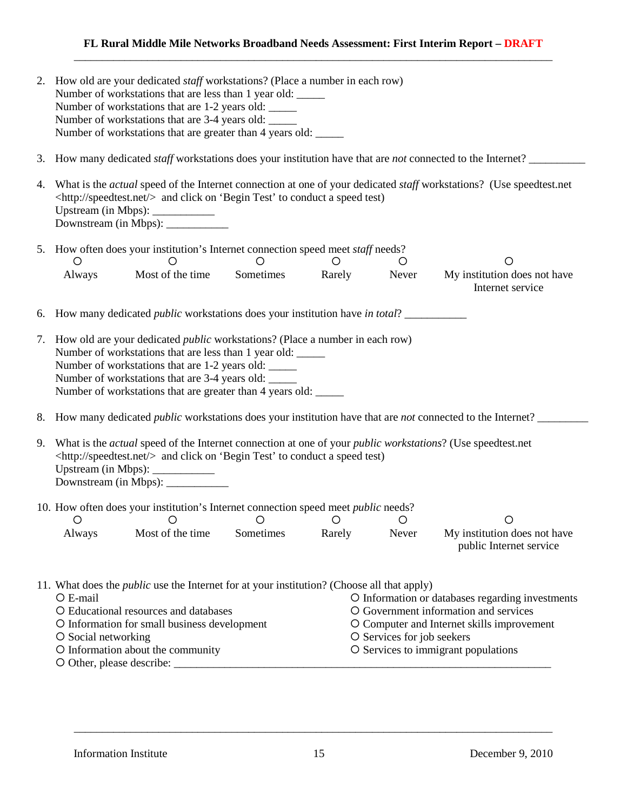#### **FL Rural Middle Mile Networks Broadband Needs Assessment: First Interim Report – DRAFT** \_\_\_\_\_\_\_\_\_\_\_\_\_\_\_\_\_\_\_\_\_\_\_\_\_\_\_\_\_\_\_\_\_\_\_\_\_\_\_\_\_\_\_\_\_\_\_\_\_\_\_\_\_\_\_\_\_\_\_\_\_\_\_\_\_\_\_\_\_\_\_\_\_\_\_\_\_\_\_\_\_\_\_\_\_

|    |                                                                                                                            | 2. How old are your dedicated <i>staff</i> workstations? (Place a number in each row)<br>Number of workstations that are less than 1 year old: _____<br>Number of workstations that are 1-2 years old: _____<br>Number of workstations that are 3-4 years old:<br>Number of workstations that are greater than 4 years old: |         |   |                            |                                                                                                                                                                                |  |
|----|----------------------------------------------------------------------------------------------------------------------------|-----------------------------------------------------------------------------------------------------------------------------------------------------------------------------------------------------------------------------------------------------------------------------------------------------------------------------|---------|---|----------------------------|--------------------------------------------------------------------------------------------------------------------------------------------------------------------------------|--|
|    |                                                                                                                            |                                                                                                                                                                                                                                                                                                                             |         |   |                            | 3. How many dedicated <i>staff</i> workstations does your institution have that are <i>not</i> connected to the Internet?                                                      |  |
| 4. |                                                                                                                            | <http: speedtest.net=""></http:> and click on 'Begin Test' to conduct a speed test)<br>Upstream (in Mbps): ___________<br>Downstream (in Mbps): __________                                                                                                                                                                  |         |   |                            | What is the <i>actual</i> speed of the Internet connection at one of your dedicated <i>staff</i> workstations? (Use speedtest.net                                              |  |
|    | O                                                                                                                          | 5. How often does your institution's Internet connection speed meet staff needs?                                                                                                                                                                                                                                            | $\circ$ | O | $\circ$                    | O                                                                                                                                                                              |  |
|    | Always                                                                                                                     | Most of the time Sometimes Rarely                                                                                                                                                                                                                                                                                           |         |   | Never                      | My institution does not have<br>Internet service                                                                                                                               |  |
|    |                                                                                                                            | 6. How many dedicated <i>public</i> workstations does your institution have <i>in total</i> ?                                                                                                                                                                                                                               |         |   |                            |                                                                                                                                                                                |  |
|    |                                                                                                                            | 7. How old are your dedicated <i>public</i> workstations? (Place a number in each row)<br>Number of workstations that are less than 1 year old: _____<br>Number of workstations that are 1-2 years old:<br>Number of workstations that are 3-4 years old:<br>Number of workstations that are greater than 4 years old:      |         |   |                            |                                                                                                                                                                                |  |
|    | 8. How many dedicated <i>public</i> workstations does your institution have that are <i>not</i> connected to the Internet? |                                                                                                                                                                                                                                                                                                                             |         |   |                            |                                                                                                                                                                                |  |
|    |                                                                                                                            | 9. What is the <i>actual</i> speed of the Internet connection at one of your <i>public workstations</i> ? (Use speedtest.net<br><http: speedtest.net=""></http:> and click on 'Begin Test' to conduct a speed test)<br>Upstream (in Mbps): ___________                                                                      |         |   |                            |                                                                                                                                                                                |  |
|    |                                                                                                                            | 10. How often does your institution's Internet connection speed meet <i>public</i> needs?                                                                                                                                                                                                                                   |         |   |                            |                                                                                                                                                                                |  |
|    |                                                                                                                            | $\circ$                                                                                                                                                                                                                                                                                                                     | $\circ$ |   | $\circ$                    | Always Most of the time Sometimes Rarely Never My institution does not have<br>public Internet service                                                                         |  |
|    | $O$ E-mail<br>O Social networking                                                                                          | 11. What does the <i>public</i> use the Internet for at your institution? (Choose all that apply)<br>O Educational resources and databases<br>O Information for small business development<br>O Information about the community                                                                                             |         |   | O Services for job seekers | O Information or databases regarding investments<br>O Government information and services<br>O Computer and Internet skills improvement<br>O Services to immigrant populations |  |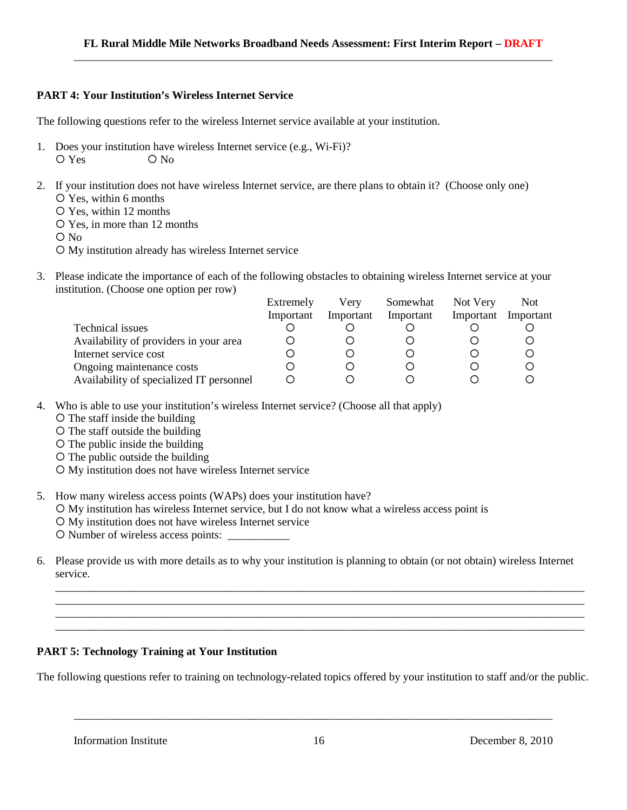#### **PART 4: Your Institution's Wireless Internet Service**

The following questions refer to the wireless Internet service available at your institution.

- 1. Does your institution have wireless Internet service (e.g., Wi-Fi)?  $OY$ es  $ON_0$
- 2. If your institution does not have wireless Internet service, are there plans to obtain it? (Choose only one) Yes, within 6 months
	- Yes, within 12 months
	- Yes, in more than 12 months
	- $O$  No
	- My institution already has wireless Internet service
- 3. Please indicate the importance of each of the following obstacles to obtaining wireless Internet service at your institution. (Choose one option per row)

|                                          | Extremely | Very      | Somewhat  | Not Very  | <b>Not</b> |
|------------------------------------------|-----------|-----------|-----------|-----------|------------|
|                                          | Important | Important | Important | Important | Important  |
| Technical issues                         |           |           |           |           |            |
| Availability of providers in your area   |           |           |           |           |            |
| Internet service cost                    |           |           |           |           |            |
| Ongoing maintenance costs                |           |           |           |           |            |
| Availability of specialized IT personnel |           |           |           |           |            |

- 4. Who is able to use your institution's wireless Internet service? (Choose all that apply)
	- $\overline{O}$  The staff inside the building
	- $\overline{O}$  The staff outside the building
	- O The public inside the building
	- $\circ$  The public outside the building
	- My institution does not have wireless Internet service
- 5. How many wireless access points (WAPs) does your institution have?
	- My institution has wireless Internet service, but I do not know what a wireless access point is
	- My institution does not have wireless Internet service
	- O Number of wireless access points:
- 6. Please provide us with more details as to why your institution is planning to obtain (or not obtain) wireless Internet service.

\_\_\_\_\_\_\_\_\_\_\_\_\_\_\_\_\_\_\_\_\_\_\_\_\_\_\_\_\_\_\_\_\_\_\_\_\_\_\_\_\_\_\_\_\_\_\_\_\_\_\_\_\_\_\_\_\_\_\_\_\_\_\_\_\_\_\_\_\_\_\_\_\_\_\_\_\_\_\_\_\_\_\_\_\_\_\_\_\_\_\_\_\_\_ \_\_\_\_\_\_\_\_\_\_\_\_\_\_\_\_\_\_\_\_\_\_\_\_\_\_\_\_\_\_\_\_\_\_\_\_\_\_\_\_\_\_\_\_\_\_\_\_\_\_\_\_\_\_\_\_\_\_\_\_\_\_\_\_\_\_\_\_\_\_\_\_\_\_\_\_\_\_\_\_\_\_\_\_\_\_\_\_\_\_\_\_\_\_ \_\_\_\_\_\_\_\_\_\_\_\_\_\_\_\_\_\_\_\_\_\_\_\_\_\_\_\_\_\_\_\_\_\_\_\_\_\_\_\_\_\_\_\_\_\_\_\_\_\_\_\_\_\_\_\_\_\_\_\_\_\_\_\_\_\_\_\_\_\_\_\_\_\_\_\_\_\_\_\_\_\_\_\_\_\_\_\_\_\_\_\_\_\_ \_\_\_\_\_\_\_\_\_\_\_\_\_\_\_\_\_\_\_\_\_\_\_\_\_\_\_\_\_\_\_\_\_\_\_\_\_\_\_\_\_\_\_\_\_\_\_\_\_\_\_\_\_\_\_\_\_\_\_\_\_\_\_\_\_\_\_\_\_\_\_\_\_\_\_\_\_\_\_\_\_\_\_\_\_\_\_\_\_\_\_\_\_\_

#### **PART 5: Technology Training at Your Institution**

The following questions refer to training on technology-related topics offered by your institution to staff and/or the public.

\_\_\_\_\_\_\_\_\_\_\_\_\_\_\_\_\_\_\_\_\_\_\_\_\_\_\_\_\_\_\_\_\_\_\_\_\_\_\_\_\_\_\_\_\_\_\_\_\_\_\_\_\_\_\_\_\_\_\_\_\_\_\_\_\_\_\_\_\_\_\_\_\_\_\_\_\_\_\_\_\_\_\_\_\_

Information Institute 16 December 8, 2010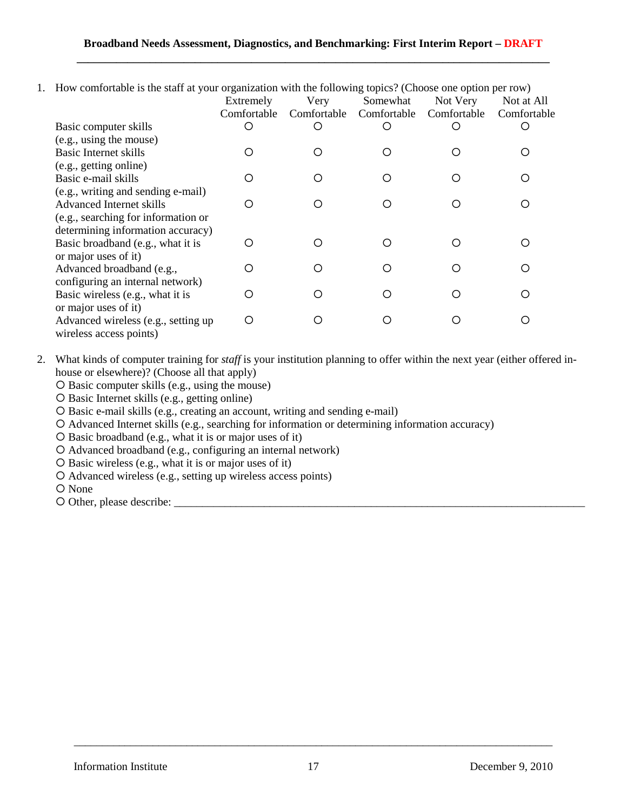1. How comfortable is the staff at your organization with the following topics? (Choose one option per row)

|                                     | Extremely   | Very        | Somewhat    | Not Very    | Not at All  |
|-------------------------------------|-------------|-------------|-------------|-------------|-------------|
|                                     | Comfortable | Comfortable | Comfortable | Comfortable | Comfortable |
| Basic computer skills               |             |             |             |             |             |
| (e.g., using the mouse)             |             |             |             |             |             |
| Basic Internet skills               |             |             |             |             |             |
| (e.g., getting online)              |             |             |             |             |             |
| Basic e-mail skills                 | ◯           |             |             |             | ◯           |
| (e.g., writing and sending e-mail)  |             |             |             |             |             |
| Advanced Internet skills            | ◯           |             |             |             |             |
| (e.g., searching for information or |             |             |             |             |             |
| determining information accuracy)   |             |             |             |             |             |
| Basic broadband (e.g., what it is   |             |             |             |             |             |
| or major uses of it)                |             |             |             |             |             |
| Advanced broadband (e.g.,           |             |             |             |             | ( )         |
| configuring an internal network)    |             |             |             |             |             |
| Basic wireless (e.g., what it is    |             |             |             |             |             |
| or major uses of it)                |             |             |             |             |             |
| Advanced wireless (e.g., setting up |             |             |             |             |             |
| wireless access points)             |             |             |             |             |             |

- 2. What kinds of computer training for *staff* is your institution planning to offer within the next year (either offered inhouse or elsewhere)? (Choose all that apply)
	- $\circ$  Basic computer skills (e.g., using the mouse)
	- O Basic Internet skills (e.g., getting online)
	- O Basic e-mail skills (e.g., creating an account, writing and sending e-mail)
	- Advanced Internet skills (e.g., searching for information or determining information accuracy)
	- $\circ$  Basic broadband (e.g., what it is or major uses of it)
	- Advanced broadband (e.g., configuring an internal network)
	- $\circ$  Basic wireless (e.g., what it is or major uses of it)
	- Advanced wireless (e.g., setting up wireless access points)
	- O None
	- O Other, please describe: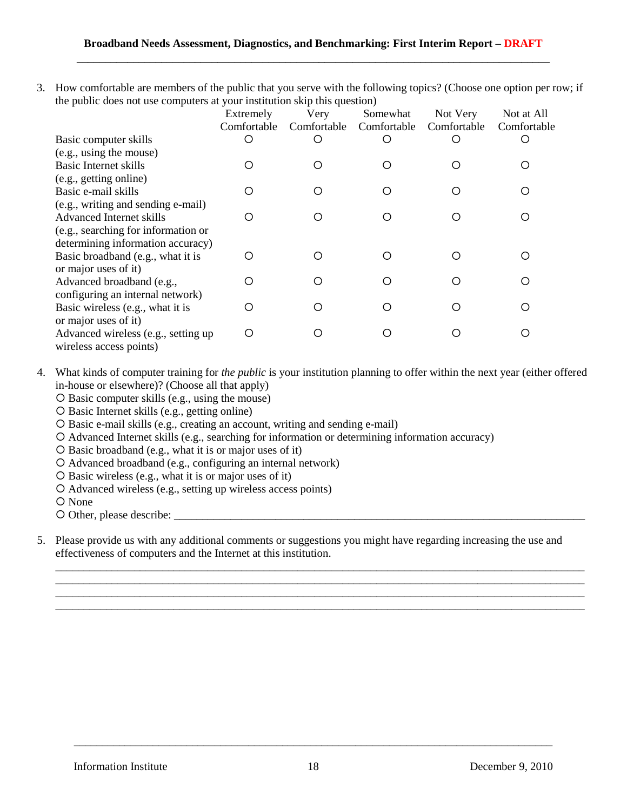3. How comfortable are members of the public that you serve with the following topics? (Choose one option per row; if the public does not use computers at your institution skip this question)

|                                     | Extremely   | Very        | Somewhat    | Not Very    | Not at All  |
|-------------------------------------|-------------|-------------|-------------|-------------|-------------|
|                                     | Comfortable | Comfortable | Comfortable | Comfortable | Comfortable |
| Basic computer skills               |             | Ő           | O           | ( )         | ( )         |
| (e.g., using the mouse)             |             |             |             |             |             |
| Basic Internet skills               |             |             |             |             |             |
| (e.g., getting online)              |             |             |             |             |             |
| Basic e-mail skills                 |             |             |             |             |             |
| (e.g., writing and sending e-mail)  |             |             |             |             |             |
| <b>Advanced Internet skills</b>     |             |             |             |             |             |
| (e.g., searching for information or |             |             |             |             |             |
| determining information accuracy)   |             |             |             |             |             |
| Basic broadband (e.g., what it is   |             |             |             |             |             |
| or major uses of it)                |             |             |             |             |             |
| Advanced broadband (e.g.,           |             |             |             |             |             |
| configuring an internal network)    |             |             |             |             |             |
| Basic wireless (e.g., what it is    |             |             |             |             |             |
| or major uses of it)                |             |             |             |             |             |
| Advanced wireless (e.g., setting up |             |             |             |             |             |
| wireless access points)             |             |             |             |             |             |

- 4. What kinds of computer training for *the public* is your institution planning to offer within the next year (either offered in-house or elsewhere)? (Choose all that apply)
	- O Basic computer skills (e.g., using the mouse)
	- Basic Internet skills (e.g., getting online)
	- Basic e-mail skills (e.g., creating an account, writing and sending e-mail)
	- Advanced Internet skills (e.g., searching for information or determining information accuracy)
	- $O$  Basic broadband (e.g., what it is or major uses of it)
	- Advanced broadband (e.g., configuring an internal network)
	- $\circ$  Basic wireless (e.g., what it is or major uses of it)
	- Advanced wireless (e.g., setting up wireless access points)
	- O None
	- Other, please describe: \_\_\_\_\_\_\_\_\_\_\_\_\_\_\_\_\_\_\_\_\_\_\_\_\_\_\_\_\_\_\_\_\_\_\_\_\_\_\_\_\_\_\_\_\_\_\_\_\_\_\_\_\_\_\_\_\_\_\_\_\_\_\_\_\_\_\_\_\_\_\_\_\_
- 5. Please provide us with any additional comments or suggestions you might have regarding increasing the use and effectiveness of computers and the Internet at this institution.

\_\_\_\_\_\_\_\_\_\_\_\_\_\_\_\_\_\_\_\_\_\_\_\_\_\_\_\_\_\_\_\_\_\_\_\_\_\_\_\_\_\_\_\_\_\_\_\_\_\_\_\_\_\_\_\_\_\_\_\_\_\_\_\_\_\_\_\_\_\_\_\_\_\_\_\_\_\_\_\_\_\_\_\_\_\_\_\_\_\_\_\_\_\_ \_\_\_\_\_\_\_\_\_\_\_\_\_\_\_\_\_\_\_\_\_\_\_\_\_\_\_\_\_\_\_\_\_\_\_\_\_\_\_\_\_\_\_\_\_\_\_\_\_\_\_\_\_\_\_\_\_\_\_\_\_\_\_\_\_\_\_\_\_\_\_\_\_\_\_\_\_\_\_\_\_\_\_\_\_\_\_\_\_\_\_\_\_\_ \_\_\_\_\_\_\_\_\_\_\_\_\_\_\_\_\_\_\_\_\_\_\_\_\_\_\_\_\_\_\_\_\_\_\_\_\_\_\_\_\_\_\_\_\_\_\_\_\_\_\_\_\_\_\_\_\_\_\_\_\_\_\_\_\_\_\_\_\_\_\_\_\_\_\_\_\_\_\_\_\_\_\_\_\_\_\_\_\_\_\_\_\_\_ \_\_\_\_\_\_\_\_\_\_\_\_\_\_\_\_\_\_\_\_\_\_\_\_\_\_\_\_\_\_\_\_\_\_\_\_\_\_\_\_\_\_\_\_\_\_\_\_\_\_\_\_\_\_\_\_\_\_\_\_\_\_\_\_\_\_\_\_\_\_\_\_\_\_\_\_\_\_\_\_\_\_\_\_\_\_\_\_\_\_\_\_\_\_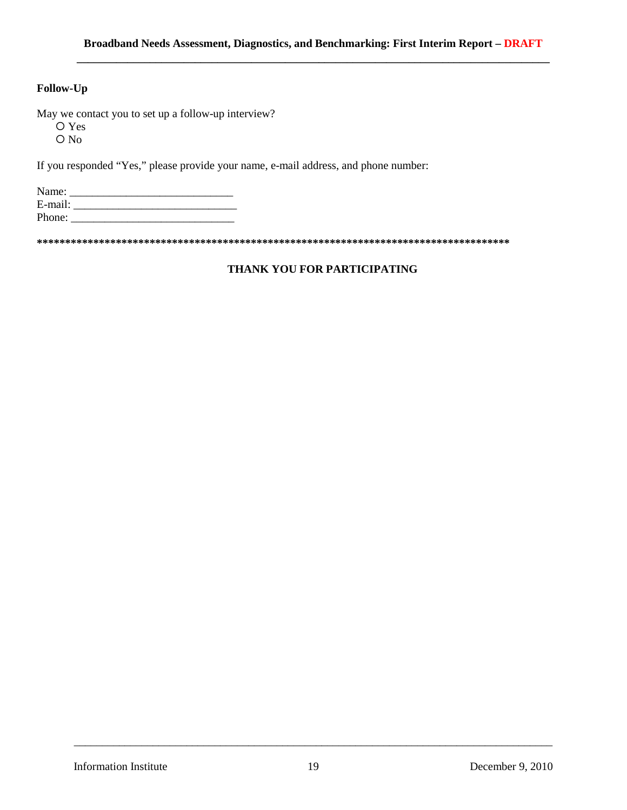#### **Follow-Up**

May we contact you to set up a follow-up interview? Yes

O No

If you responded "Yes," please provide your name, e-mail address, and phone number:

Name: \_\_\_\_\_\_\_\_\_\_\_\_\_\_\_\_\_\_\_\_\_\_\_\_\_\_\_\_\_  $E$ -mail:  $\frac{1}{2}$ Phone: \_\_\_\_\_\_\_\_\_\_\_\_\_\_\_\_\_\_\_\_\_\_\_\_\_\_\_\_\_

**\*\*\*\*\*\*\*\*\*\*\*\*\*\*\*\*\*\*\*\*\*\*\*\*\*\*\*\*\*\*\*\*\*\*\*\*\*\*\*\*\*\*\*\*\*\*\*\*\*\*\*\*\*\*\*\*\*\*\*\*\*\*\*\*\*\*\*\*\*\*\*\*\*\*\*\*\*\*\*\*\*\*\*\***

#### **THANK YOU FOR PARTICIPATING**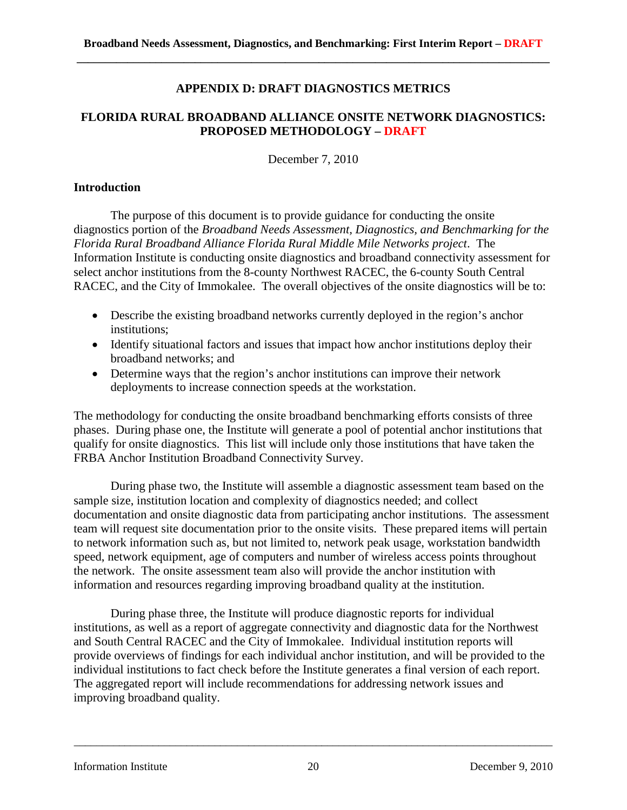## **APPENDIX D: DRAFT DIAGNOSTICS METRICS**

#### **FLORIDA RURAL BROADBAND ALLIANCE ONSITE NETWORK DIAGNOSTICS: PROPOSED METHODOLOGY – DRAFT**

December 7, 2010

#### **Introduction**

The purpose of this document is to provide guidance for conducting the onsite diagnostics portion of the *Broadband Needs Assessment, Diagnostics, and Benchmarking for the Florida Rural Broadband Alliance Florida Rural Middle Mile Networks project*. The Information Institute is conducting onsite diagnostics and broadband connectivity assessment for select anchor institutions from the 8-county Northwest RACEC, the 6-county South Central RACEC, and the City of Immokalee. The overall objectives of the onsite diagnostics will be to:

- Describe the existing broadband networks currently deployed in the region's anchor institutions;
- Identify situational factors and issues that impact how anchor institutions deploy their broadband networks; and
- Determine ways that the region's anchor institutions can improve their network deployments to increase connection speeds at the workstation.

The methodology for conducting the onsite broadband benchmarking efforts consists of three phases. During phase one, the Institute will generate a pool of potential anchor institutions that qualify for onsite diagnostics. This list will include only those institutions that have taken the FRBA Anchor Institution Broadband Connectivity Survey.

During phase two, the Institute will assemble a diagnostic assessment team based on the sample size, institution location and complexity of diagnostics needed; and collect documentation and onsite diagnostic data from participating anchor institutions. The assessment team will request site documentation prior to the onsite visits. These prepared items will pertain to network information such as, but not limited to, network peak usage, workstation bandwidth speed, network equipment, age of computers and number of wireless access points throughout the network. The onsite assessment team also will provide the anchor institution with information and resources regarding improving broadband quality at the institution.

During phase three, the Institute will produce diagnostic reports for individual institutions, as well as a report of aggregate connectivity and diagnostic data for the Northwest and South Central RACEC and the City of Immokalee. Individual institution reports will provide overviews of findings for each individual anchor institution, and will be provided to the individual institutions to fact check before the Institute generates a final version of each report. The aggregated report will include recommendations for addressing network issues and improving broadband quality.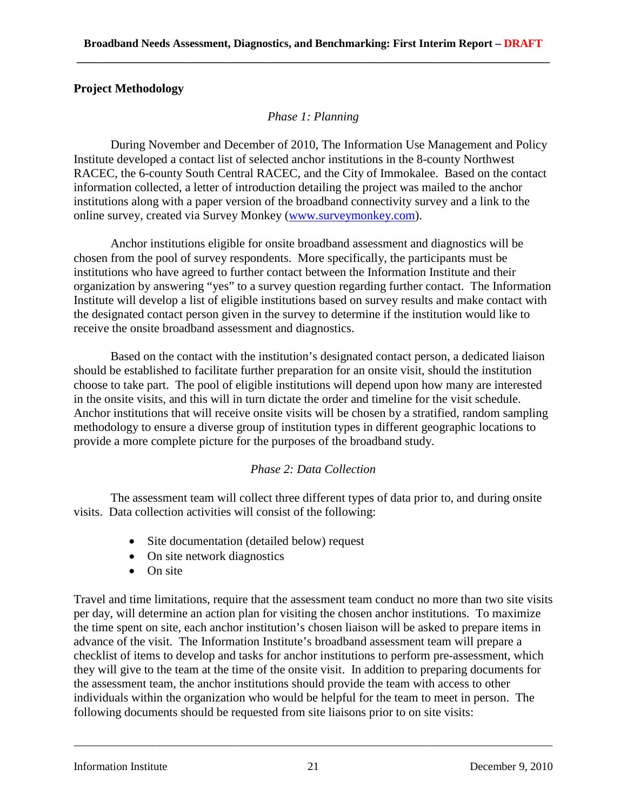## **Project Methodology**

## *Phase 1: Planning*

During November and December of 2010, The Information Use Management and Policy Institute developed a contact list of selected anchor institutions in the 8-county Northwest RACEC, the 6-county South Central RACEC, and the City of Immokalee. Based on the contact information collected, a letter of introduction detailing the project was mailed to the anchor institutions along with a paper version of the broadband connectivity survey and a link to the online survey, created via Survey Monkey [\(www.surveymonkey.com\)](http://www.surveymonkey.com/).

Anchor institutions eligible for onsite broadband assessment and diagnostics will be chosen from the pool of survey respondents. More specifically, the participants must be institutions who have agreed to further contact between the Information Institute and their organization by answering "yes" to a survey question regarding further contact. The Information Institute will develop a list of eligible institutions based on survey results and make contact with the designated contact person given in the survey to determine if the institution would like to receive the onsite broadband assessment and diagnostics.

Based on the contact with the institution's designated contact person, a dedicated liaison should be established to facilitate further preparation for an onsite visit, should the institution choose to take part. The pool of eligible institutions will depend upon how many are interested in the onsite visits, and this will in turn dictate the order and timeline for the visit schedule. Anchor institutions that will receive onsite visits will be chosen by a stratified, random sampling methodology to ensure a diverse group of institution types in different geographic locations to provide a more complete picture for the purposes of the broadband study.

## *Phase 2: Data Collection*

The assessment team will collect three different types of data prior to, and during onsite visits. Data collection activities will consist of the following:

- Site documentation (detailed below) request
- On site network diagnostics
- On site

Travel and time limitations, require that the assessment team conduct no more than two site visits per day, will determine an action plan for visiting the chosen anchor institutions. To maximize the time spent on site, each anchor institution's chosen liaison will be asked to prepare items in advance of the visit. The Information Institute's broadband assessment team will prepare a checklist of items to develop and tasks for anchor institutions to perform pre-assessment, which they will give to the team at the time of the onsite visit. In addition to preparing documents for the assessment team, the anchor institutions should provide the team with access to other individuals within the organization who would be helpful for the team to meet in person. The following documents should be requested from site liaisons prior to on site visits: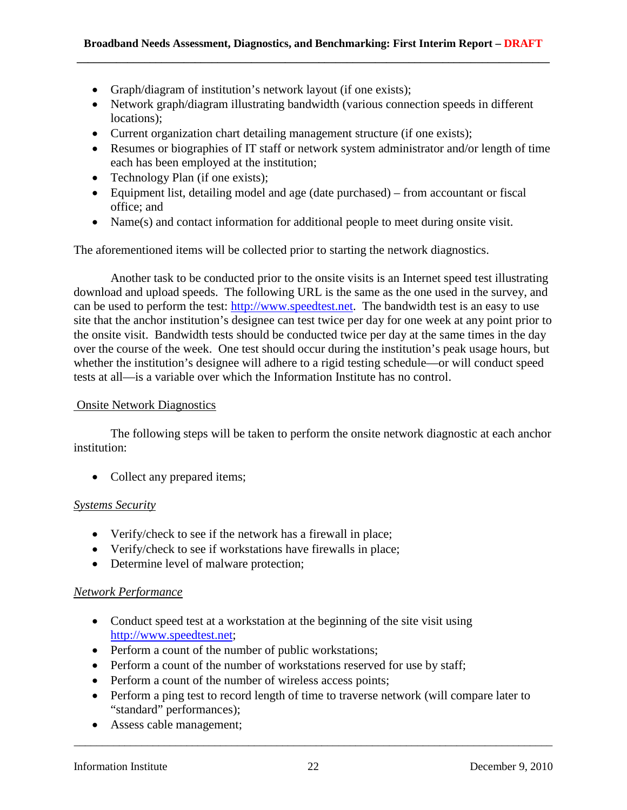- Graph/diagram of institution's network layout (if one exists);
- Network graph/diagram illustrating bandwidth (various connection speeds in different locations);
- Current organization chart detailing management structure (if one exists);
- Resumes or biographies of IT staff or network system administrator and/or length of time each has been employed at the institution;
- Technology Plan (if one exists);
- Equipment list, detailing model and age (date purchased) from accountant or fiscal office; and
- Name(s) and contact information for additional people to meet during onsite visit.

The aforementioned items will be collected prior to starting the network diagnostics.

Another task to be conducted prior to the onsite visits is an Internet speed test illustrating download and upload speeds. The following URL is the same as the one used in the survey, and can be used to perform the test: [http://www.speedtest.net.](http://www.speedtest.net/) The bandwidth test is an easy to use site that the anchor institution's designee can test twice per day for one week at any point prior to the onsite visit. Bandwidth tests should be conducted twice per day at the same times in the day over the course of the week. One test should occur during the institution's peak usage hours, but whether the institution's designee will adhere to a rigid testing schedule—or will conduct speed tests at all—is a variable over which the Information Institute has no control.

#### Onsite Network Diagnostics

The following steps will be taken to perform the onsite network diagnostic at each anchor institution:

• Collect any prepared items;

#### *Systems Security*

- Verify/check to see if the network has a firewall in place;
- Verify/check to see if workstations have firewalls in place;
- Determine level of malware protection;

#### *Network Performance*

- Conduct speed test at a workstation at the beginning of the site visit using [http://www.speedtest.net;](http://www.speedtest.net/)
- Perform a count of the number of public workstations;
- Perform a count of the number of workstations reserved for use by staff;
- Perform a count of the number of wireless access points;
- Perform a ping test to record length of time to traverse network (will compare later to "standard" performances);
- Assess cable management;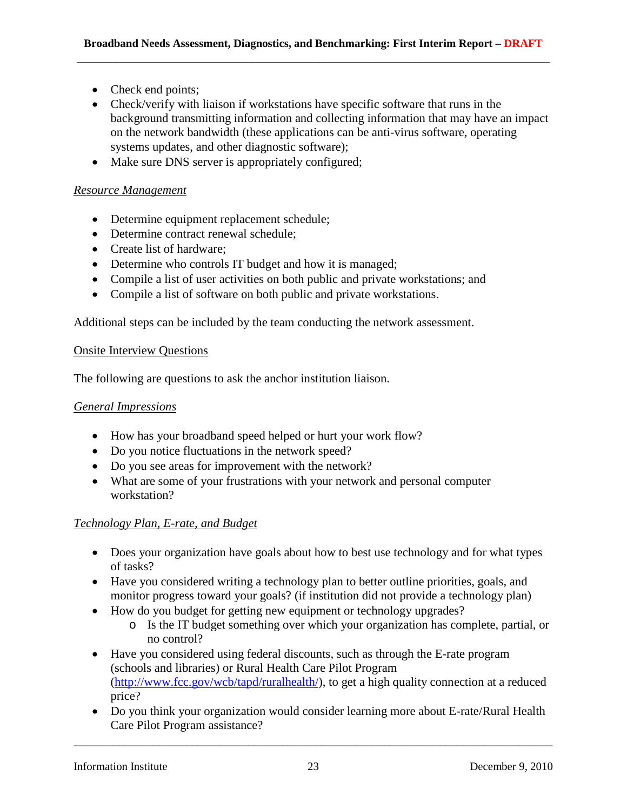- Check end points;
- Check/verify with liaison if workstations have specific software that runs in the background transmitting information and collecting information that may have an impact on the network bandwidth (these applications can be anti-virus software, operating systems updates, and other diagnostic software);
- Make sure DNS server is appropriately configured;

## *Resource Management*

- Determine equipment replacement schedule;
- Determine contract renewal schedule:
- Create list of hardware:
- Determine who controls IT budget and how it is managed;
- Compile a list of user activities on both public and private workstations; and
- Compile a list of software on both public and private workstations.

Additional steps can be included by the team conducting the network assessment.

### Onsite Interview Questions

The following are questions to ask the anchor institution liaison.

## *General Impressions*

- How has your broadband speed helped or hurt your work flow?
- Do you notice fluctuations in the network speed?
- Do you see areas for improvement with the network?
- What are some of your frustrations with your network and personal computer workstation?

## *Technology Plan, E-rate, and Budget*

- Does your organization have goals about how to best use technology and for what types of tasks?
- Have you considered writing a technology plan to better outline priorities, goals, and monitor progress toward your goals? (if institution did not provide a technology plan)
- How do you budget for getting new equipment or technology upgrades?
	- o Is the IT budget something over which your organization has complete, partial, or no control?
- Have you considered using federal discounts, such as through the E-rate program (schools and libraries) or Rural Health Care Pilot Program [\(http://www.fcc.gov/wcb/tapd/ruralhealth/\)](http://www.fcc.gov/wcb/tapd/ruralhealth/), to get a high quality connection at a reduced price?
- Do you think your organization would consider learning more about E-rate/Rural Health Care Pilot Program assistance?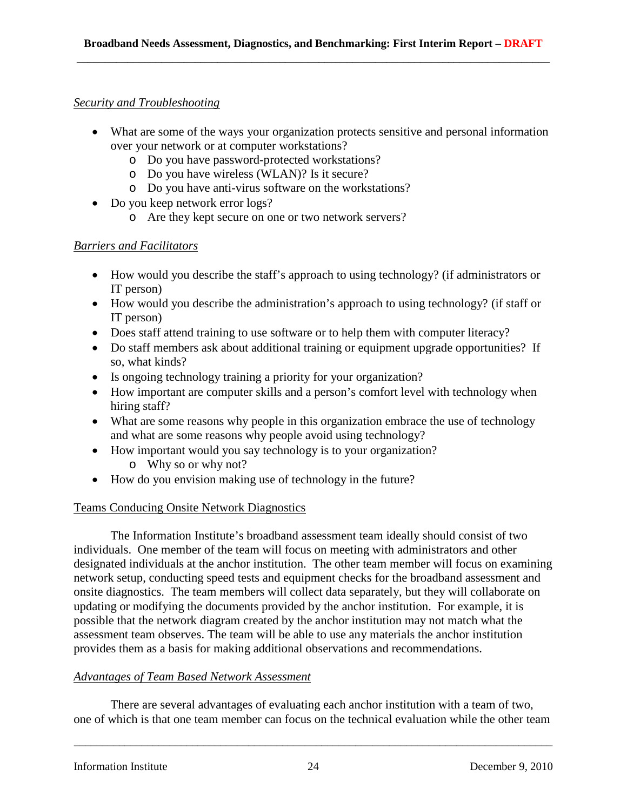## *Security and Troubleshooting*

- What are some of the ways your organization protects sensitive and personal information over your network or at computer workstations?
	- o Do you have password-protected workstations?
	- o Do you have wireless (WLAN)? Is it secure?
	- o Do you have anti-virus software on the workstations?
- Do you keep network error logs?
	- o Are they kept secure on one or two network servers?

## *Barriers and Facilitators*

- How would you describe the staff's approach to using technology? (if administrators or IT person)
- How would you describe the administration's approach to using technology? (if staff or IT person)
- Does staff attend training to use software or to help them with computer literacy?
- Do staff members ask about additional training or equipment upgrade opportunities? If so, what kinds?
- Is ongoing technology training a priority for your organization?
- How important are computer skills and a person's comfort level with technology when hiring staff?
- What are some reasons why people in this organization embrace the use of technology and what are some reasons why people avoid using technology?
- How important would you say technology is to your organization?
	- o Why so or why not?
- How do you envision making use of technology in the future?

## Teams Conducing Onsite Network Diagnostics

The Information Institute's broadband assessment team ideally should consist of two individuals. One member of the team will focus on meeting with administrators and other designated individuals at the anchor institution. The other team member will focus on examining network setup, conducting speed tests and equipment checks for the broadband assessment and onsite diagnostics. The team members will collect data separately, but they will collaborate on updating or modifying the documents provided by the anchor institution. For example, it is possible that the network diagram created by the anchor institution may not match what the assessment team observes. The team will be able to use any materials the anchor institution provides them as a basis for making additional observations and recommendations.

## *Advantages of Team Based Network Assessment*

There are several advantages of evaluating each anchor institution with a team of two, one of which is that one team member can focus on the technical evaluation while the other team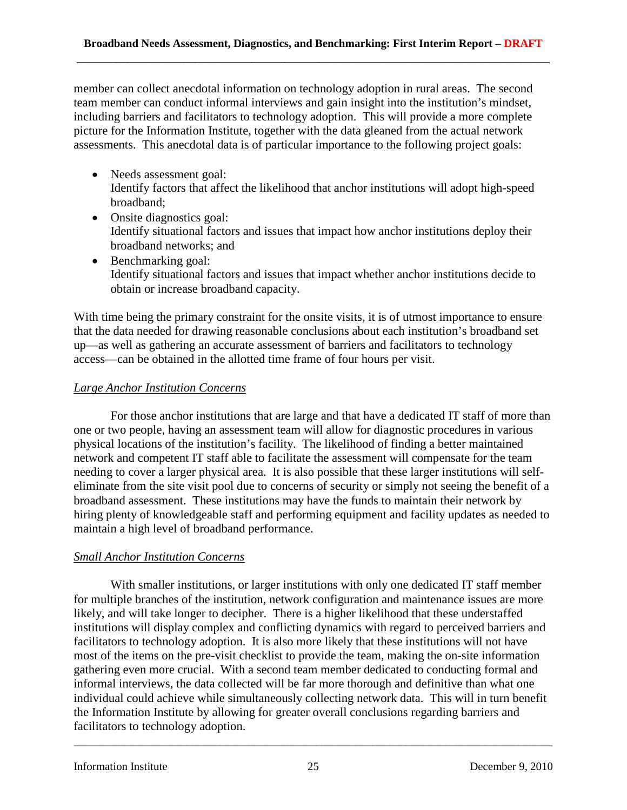member can collect anecdotal information on technology adoption in rural areas. The second team member can conduct informal interviews and gain insight into the institution's mindset, including barriers and facilitators to technology adoption. This will provide a more complete picture for the Information Institute, together with the data gleaned from the actual network assessments. This anecdotal data is of particular importance to the following project goals:

- Needs assessment goal: Identify factors that affect the likelihood that anchor institutions will adopt high-speed broadband;
- Onsite diagnostics goal: Identify situational factors and issues that impact how anchor institutions deploy their broadband networks; and
- Benchmarking goal: Identify situational factors and issues that impact whether anchor institutions decide to obtain or increase broadband capacity.

With time being the primary constraint for the onsite visits, it is of utmost importance to ensure that the data needed for drawing reasonable conclusions about each institution's broadband set up—as well as gathering an accurate assessment of barriers and facilitators to technology access—can be obtained in the allotted time frame of four hours per visit.

## *Large Anchor Institution Concerns*

For those anchor institutions that are large and that have a dedicated IT staff of more than one or two people, having an assessment team will allow for diagnostic procedures in various physical locations of the institution's facility. The likelihood of finding a better maintained network and competent IT staff able to facilitate the assessment will compensate for the team needing to cover a larger physical area. It is also possible that these larger institutions will selfeliminate from the site visit pool due to concerns of security or simply not seeing the benefit of a broadband assessment. These institutions may have the funds to maintain their network by hiring plenty of knowledgeable staff and performing equipment and facility updates as needed to maintain a high level of broadband performance.

## *Small Anchor Institution Concerns*

With smaller institutions, or larger institutions with only one dedicated IT staff member for multiple branches of the institution, network configuration and maintenance issues are more likely, and will take longer to decipher. There is a higher likelihood that these understaffed institutions will display complex and conflicting dynamics with regard to perceived barriers and facilitators to technology adoption. It is also more likely that these institutions will not have most of the items on the pre-visit checklist to provide the team, making the on-site information gathering even more crucial. With a second team member dedicated to conducting formal and informal interviews, the data collected will be far more thorough and definitive than what one individual could achieve while simultaneously collecting network data. This will in turn benefit the Information Institute by allowing for greater overall conclusions regarding barriers and facilitators to technology adoption.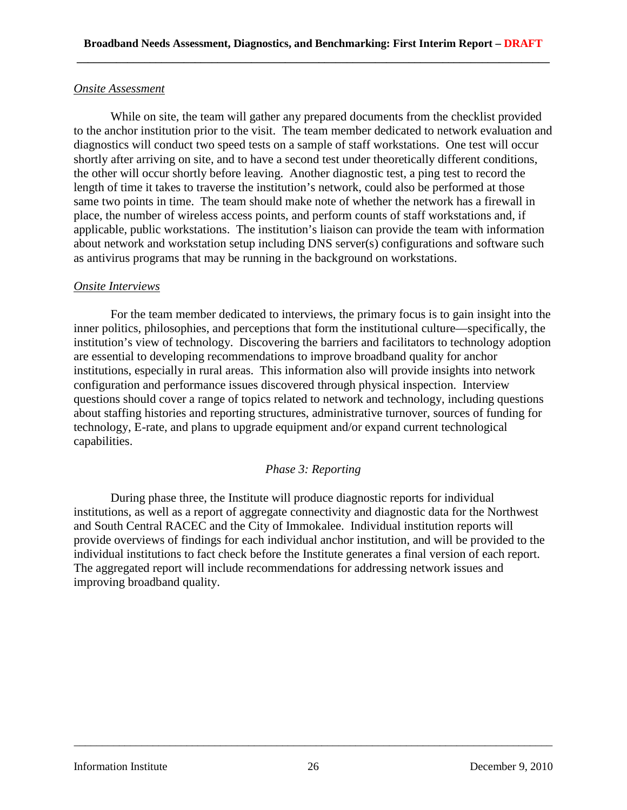#### *Onsite Assessment*

While on site, the team will gather any prepared documents from the checklist provided to the anchor institution prior to the visit. The team member dedicated to network evaluation and diagnostics will conduct two speed tests on a sample of staff workstations. One test will occur shortly after arriving on site, and to have a second test under theoretically different conditions, the other will occur shortly before leaving. Another diagnostic test, a ping test to record the length of time it takes to traverse the institution's network, could also be performed at those same two points in time. The team should make note of whether the network has a firewall in place, the number of wireless access points, and perform counts of staff workstations and, if applicable, public workstations. The institution's liaison can provide the team with information about network and workstation setup including DNS server(s) configurations and software such as antivirus programs that may be running in the background on workstations.

#### *Onsite Interviews*

For the team member dedicated to interviews, the primary focus is to gain insight into the inner politics, philosophies, and perceptions that form the institutional culture—specifically, the institution's view of technology. Discovering the barriers and facilitators to technology adoption are essential to developing recommendations to improve broadband quality for anchor institutions, especially in rural areas. This information also will provide insights into network configuration and performance issues discovered through physical inspection. Interview questions should cover a range of topics related to network and technology, including questions about staffing histories and reporting structures, administrative turnover, sources of funding for technology, E-rate, and plans to upgrade equipment and/or expand current technological capabilities.

#### *Phase 3: Reporting*

During phase three, the Institute will produce diagnostic reports for individual institutions, as well as a report of aggregate connectivity and diagnostic data for the Northwest and South Central RACEC and the City of Immokalee. Individual institution reports will provide overviews of findings for each individual anchor institution, and will be provided to the individual institutions to fact check before the Institute generates a final version of each report. The aggregated report will include recommendations for addressing network issues and improving broadband quality.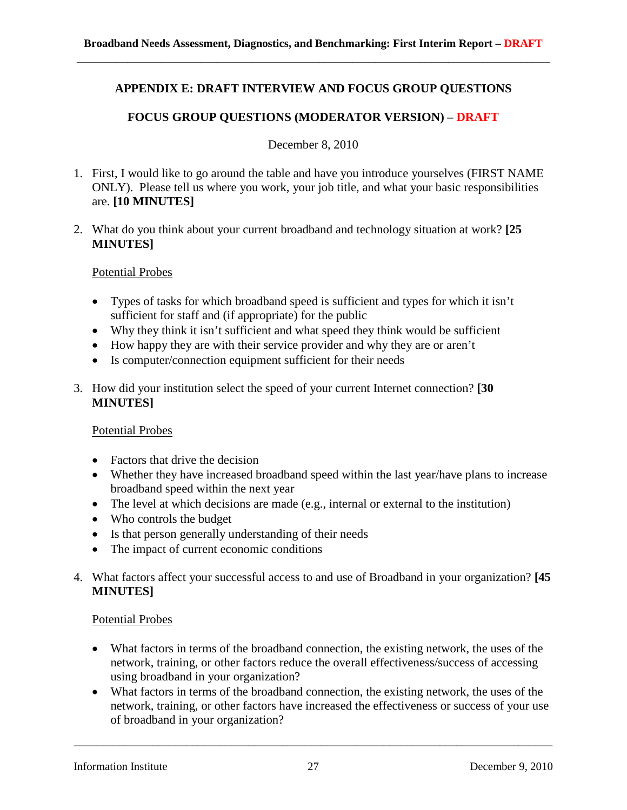## **APPENDIX E: DRAFT INTERVIEW AND FOCUS GROUP QUESTIONS**

### **FOCUS GROUP QUESTIONS (MODERATOR VERSION) – DRAFT**

December 8, 2010

- 1. First, I would like to go around the table and have you introduce yourselves (FIRST NAME ONLY). Please tell us where you work, your job title, and what your basic responsibilities are. **[10 MINUTES]**
- 2. What do you think about your current broadband and technology situation at work? **[25 MINUTES]**

#### Potential Probes

- Types of tasks for which broadband speed is sufficient and types for which it isn't sufficient for staff and (if appropriate) for the public
- Why they think it isn't sufficient and what speed they think would be sufficient
- How happy they are with their service provider and why they are or aren't
- Is computer/connection equipment sufficient for their needs
- 3. How did your institution select the speed of your current Internet connection? **[30 MINUTES]**

#### Potential Probes

- Factors that drive the decision
- Whether they have increased broadband speed within the last year/have plans to increase broadband speed within the next year
- The level at which decisions are made (e.g., internal or external to the institution)
- Who controls the budget
- Is that person generally understanding of their needs
- The impact of current economic conditions
- 4. What factors affect your successful access to and use of Broadband in your organization? **[45 MINUTES]**

#### Potential Probes

- What factors in terms of the broadband connection, the existing network, the uses of the network, training, or other factors reduce the overall effectiveness/success of accessing using broadband in your organization?
- What factors in terms of the broadband connection, the existing network, the uses of the network, training, or other factors have increased the effectiveness or success of your use of broadband in your organization?